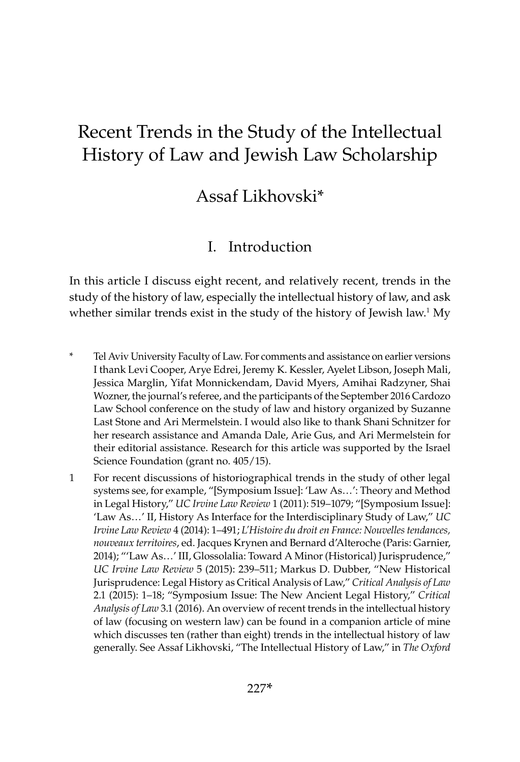# Recent Trends in the Study of the Intellectual History of Law and Jewish Law Scholarship

# Assaf Likhovski\*

# I. Introduction

In this article I discuss eight recent, and relatively recent, trends in the study of the history of law, especially the intellectual history of law, and ask whether similar trends exist in the study of the history of Jewish law.<sup>1</sup> My

- \* Tel Aviv University Faculty of Law. For comments and assistance on earlier versions I thank Levi Cooper, Arye Edrei, Jeremy K. Kessler, Ayelet Libson, Joseph Mali, Jessica Marglin, Yifat Monnickendam, David Myers, Amihai Radzyner, Shai Wozner, the journal's referee, and the participants of the September 2016 Cardozo Law School conference on the study of law and history organized by Suzanne Last Stone and Ari Mermelstein. I would also like to thank Shani Schnitzer for her research assistance and Amanda Dale, Arie Gus, and Ari Mermelstein for their editorial assistance. Research for this article was supported by the Israel Science Foundation (grant no. 405/15).
- 1 For recent discussions of historiographical trends in the study of other legal systems see, for example, "[Symposium Issue]: 'Law As…': Theory and Method in Legal History," *UC Irvine Law Review* 1 (2011): 519–1079; "[Symposium Issue]: 'Law As…' II, History As Interface for the Interdisciplinary Study of Law," *UC Irvine Law Review* 4 (2014): 1–491; *L'Histoire du droit en France: Nouvelles tendances, nouveaux territoires*, ed. Jacques Krynen and Bernard d'Alteroche (Paris: Garnier, 2014); "'Law As…' III, Glossolalia: Toward A Minor (Historical) Jurisprudence," *UC Irvine Law Review* 5 (2015): 239–511; Markus D. Dubber, "New Historical Jurisprudence: Legal History as Critical Analysis of Law," *Critical Analysis of Law* 2.1 (2015): 1–18; "Symposium Issue: The New Ancient Legal History," *Critical Analysis of Law* 3.1 (2016). An overview of recent trends in the intellectual history of law (focusing on western law) can be found in a companion article of mine which discusses ten (rather than eight) trends in the intellectual history of law generally. See Assaf Likhovski, "The Intellectual History of Law," in *The Oxford*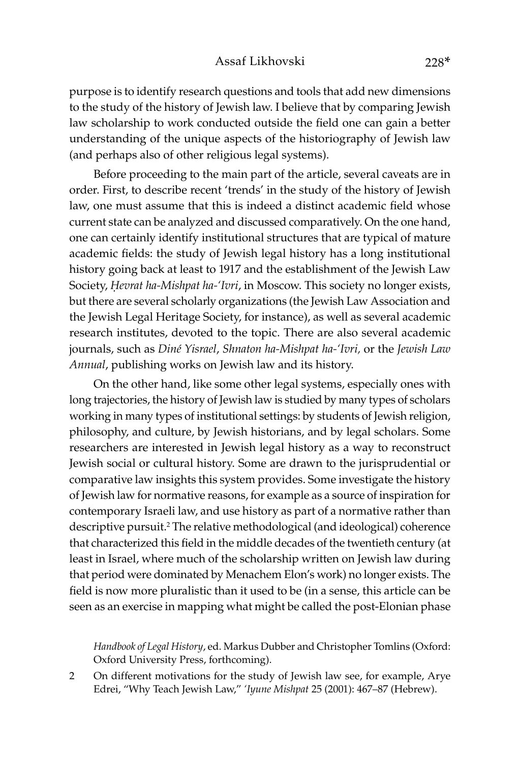purpose is to identify research questions and tools that add new dimensions to the study of the history of Jewish law. I believe that by comparing Jewish law scholarship to work conducted outside the field one can gain a better understanding of the unique aspects of the historiography of Jewish law (and perhaps also of other religious legal systems).

Before proceeding to the main part of the article, several caveats are in order. First, to describe recent 'trends' in the study of the history of Jewish law, one must assume that this is indeed a distinct academic field whose current state can be analyzed and discussed comparatively. On the one hand, one can certainly identify institutional structures that are typical of mature academic fields: the study of Jewish legal history has a long institutional history going back at least to 1917 and the establishment of the Jewish Law Society, *Hevrat ha-Mishpat ha-'Ivri*, in Moscow. This society no longer exists, but there are several scholarly organizations (the Jewish Law Association and the Jewish Legal Heritage Society, for instance), as well as several academic research institutes, devoted to the topic. There are also several academic journals, such as *Diné Yisrael*, *Shnaton ha-Mishpat ha-'Ivri,* or the *Jewish Law Annual*, publishing works on Jewish law and its history.

On the other hand, like some other legal systems, especially ones with long trajectories, the history of Jewish law is studied by many types of scholars working in many types of institutional settings: by students of Jewish religion, philosophy, and culture, by Jewish historians, and by legal scholars. Some researchers are interested in Jewish legal history as a way to reconstruct Jewish social or cultural history. Some are drawn to the jurisprudential or comparative law insights this system provides. Some investigate the history of Jewish law for normative reasons, for example as a source of inspiration for contemporary Israeli law, and use history as part of a normative rather than descriptive pursuit.2 The relative methodological (and ideological) coherence that characterized this field in the middle decades of the twentieth century (at least in Israel, where much of the scholarship written on Jewish law during that period were dominated by Menachem Elon's work) no longer exists. The field is now more pluralistic than it used to be (in a sense, this article can be seen as an exercise in mapping what might be called the post-Elonian phase

*Handbook of Legal History*, ed. Markus Dubber and Christopher Tomlins (Oxford: Oxford University Press, forthcoming).

2 On different motivations for the study of Jewish law see, for example, Arye Edrei, "Why Teach Jewish Law," *'Iyune Mishpat* 25 (2001): 467–87 (Hebrew).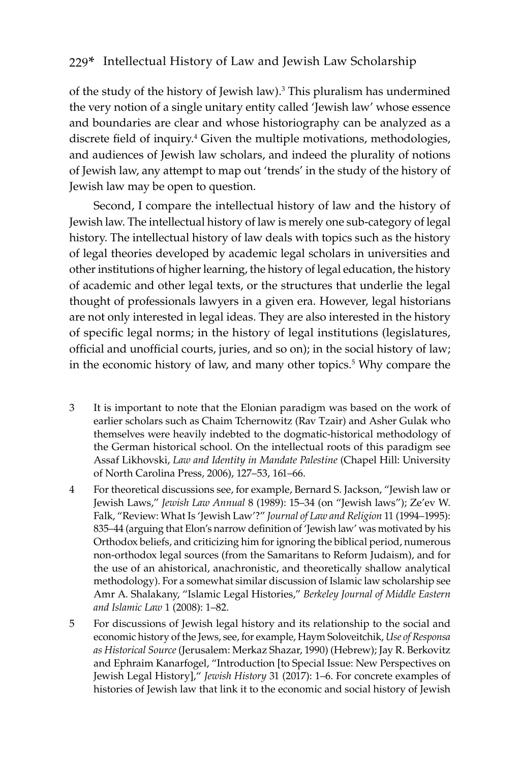of the study of the history of Jewish law).<sup>3</sup> This pluralism has undermined the very notion of a single unitary entity called 'Jewish law' whose essence and boundaries are clear and whose historiography can be analyzed as a discrete field of inquiry.<sup>4</sup> Given the multiple motivations, methodologies, and audiences of Jewish law scholars, and indeed the plurality of notions of Jewish law, any attempt to map out 'trends' in the study of the history of Jewish law may be open to question.

Second, I compare the intellectual history of law and the history of Jewish law. The intellectual history of law is merely one sub-category of legal history. The intellectual history of law deals with topics such as the history of legal theories developed by academic legal scholars in universities and other institutions of higher learning, the history of legal education, the history of academic and other legal texts, or the structures that underlie the legal thought of professionals lawyers in a given era. However, legal historians are not only interested in legal ideas. They are also interested in the history of specific legal norms; in the history of legal institutions (legislatures, official and unofficial courts, juries, and so on); in the social history of law; in the economic history of law, and many other topics.<sup>5</sup> Why compare the

- 3 It is important to note that the Elonian paradigm was based on the work of earlier scholars such as Chaim Tchernowitz (Rav Tzair) and Asher Gulak who themselves were heavily indebted to the dogmatic-historical methodology of the German historical school. On the intellectual roots of this paradigm see Assaf Likhovski, *Law and Identity in Mandate Palestine* (Chapel Hill: University of North Carolina Press, 2006), 127–53, 161–66.
- 4 For theoretical discussions see, for example, Bernard S. Jackson, "Jewish law or Jewish Laws," *Jewish Law Annual* 8 (1989): 15–34 (on "Jewish laws"); Ze'ev W. Falk, "Review: What Is 'Jewish Law'?" *Journal of Law and Religion* 11 (1994–1995): 835–44 (arguing that Elon's narrow definition of 'Jewish law' was motivated by his Orthodox beliefs, and criticizing him for ignoring the biblical period, numerous non-orthodox legal sources (from the Samaritans to Reform Judaism), and for the use of an ahistorical, anachronistic, and theoretically shallow analytical methodology). For a somewhat similar discussion of Islamic law scholarship see Amr A. Shalakany, "Islamic Legal Histories," *Berkeley Journal of Middle Eastern and Islamic Law* 1 (2008): 1–82.
- 5 For discussions of Jewish legal history and its relationship to the social and economic history of the Jews, see, for example, Haym Soloveitchik, *Use of Responsa as Historical Source* (Jerusalem: Merkaz Shazar, 1990) (Hebrew); Jay R. Berkovitz and Ephraim Kanarfogel, "Introduction [to Special Issue: New Perspectives on Jewish Legal History]," *Jewish History* 31 (2017): 1–6. For concrete examples of histories of Jewish law that link it to the economic and social history of Jewish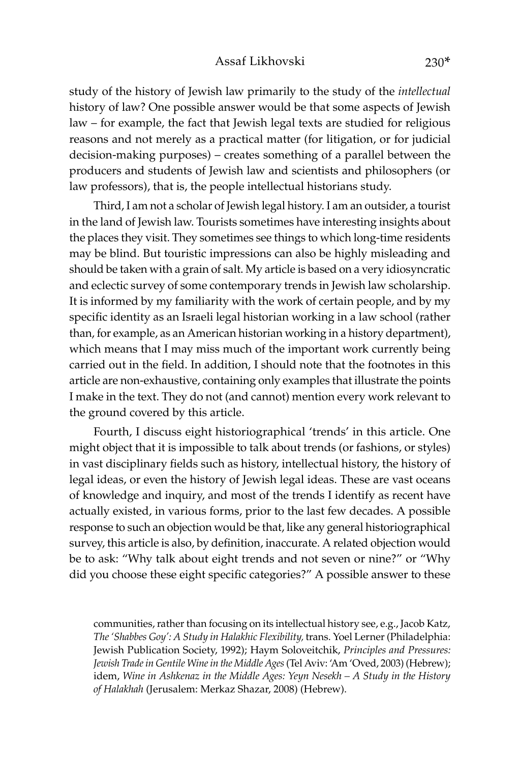#### Assaf Likhovski 230\*

study of the history of Jewish law primarily to the study of the *intellectual* history of law? One possible answer would be that some aspects of Jewish law – for example, the fact that Jewish legal texts are studied for religious reasons and not merely as a practical matter (for litigation, or for judicial decision-making purposes) – creates something of a parallel between the producers and students of Jewish law and scientists and philosophers (or law professors), that is, the people intellectual historians study.

Third, I am not a scholar of Jewish legal history. I am an outsider, a tourist in the land of Jewish law. Tourists sometimes have interesting insights about the places they visit. They sometimes see things to which long-time residents may be blind. But touristic impressions can also be highly misleading and should be taken with a grain of salt. My article is based on a very idiosyncratic and eclectic survey of some contemporary trends in Jewish law scholarship. It is informed by my familiarity with the work of certain people, and by my specific identity as an Israeli legal historian working in a law school (rather than, for example, as an American historian working in a history department), which means that I may miss much of the important work currently being carried out in the field. In addition, I should note that the footnotes in this article are non-exhaustive, containing only examples that illustrate the points I make in the text. They do not (and cannot) mention every work relevant to the ground covered by this article.

Fourth, I discuss eight historiographical 'trends' in this article. One might object that it is impossible to talk about trends (or fashions, or styles) in vast disciplinary fields such as history, intellectual history, the history of legal ideas, or even the history of Jewish legal ideas. These are vast oceans of knowledge and inquiry, and most of the trends I identify as recent have actually existed, in various forms, prior to the last few decades. A possible response to such an objection would be that, like any general historiographical survey, this article is also, by definition, inaccurate. A related objection would be to ask: "Why talk about eight trends and not seven or nine?" or "Why did you choose these eight specific categories?" A possible answer to these

communities, rather than focusing on its intellectual history see, e.g., Jacob Katz, *The 'Shabbes Goy': A Study in Halakhic Flexibility,* trans. Yoel Lerner (Philadelphia: Jewish Publication Society, 1992); Haym Soloveitchik, *Principles and Pressures: Jewish Trade in Gentile Wine in the Middle Ages* (Tel Aviv: 'Am 'Oved, 2003) (Hebrew); idem, *Wine in Ashkenaz in the Middle Ages: Yeyn Nesekh – A Study in the History of Halakhah* (Jerusalem: Merkaz Shazar, 2008) (Hebrew).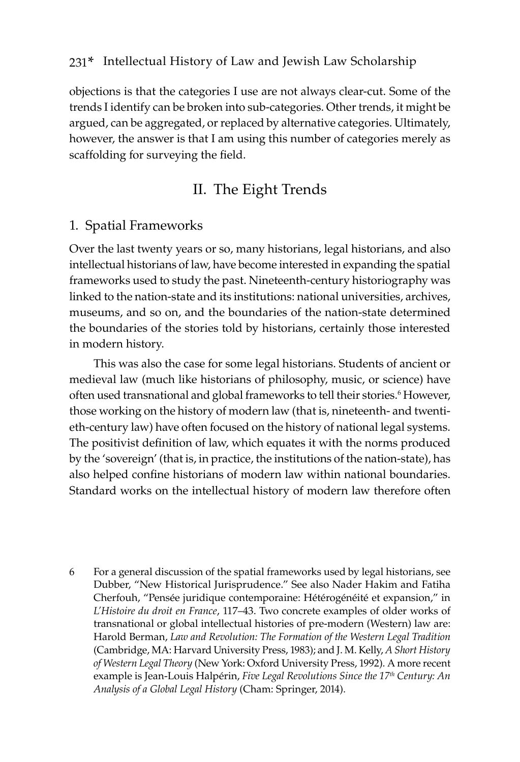objections is that the categories I use are not always clear-cut. Some of the trends I identify can be broken into sub-categories. Other trends, it might be argued, can be aggregated, or replaced by alternative categories. Ultimately, however, the answer is that I am using this number of categories merely as scaffolding for surveying the field.

## II. The Eight Trends

#### 1. Spatial Frameworks

Over the last twenty years or so, many historians, legal historians, and also intellectual historians of law, have become interested in expanding the spatial frameworks used to study the past. Nineteenth-century historiography was linked to the nation-state and its institutions: national universities, archives, museums, and so on, and the boundaries of the nation-state determined the boundaries of the stories told by historians, certainly those interested in modern history.

This was also the case for some legal historians. Students of ancient or medieval law (much like historians of philosophy, music, or science) have often used transnational and global frameworks to tell their stories.<sup>6</sup> However, those working on the history of modern law (that is, nineteenth- and twentieth-century law) have often focused on the history of national legal systems. The positivist definition of law, which equates it with the norms produced by the 'sovereign' (that is, in practice, the institutions of the nation-state), has also helped confine historians of modern law within national boundaries. Standard works on the intellectual history of modern law therefore often

6 For a general discussion of the spatial frameworks used by legal historians, see Dubber, "New Historical Jurisprudence." See also Nader Hakim and Fatiha Cherfouh, "Pensée juridique contemporaine: Hétérogénéité et expansion," in *L'Histoire du droit en France*, 117–43. Two concrete examples of older works of transnational or global intellectual histories of pre-modern (Western) law are: Harold Berman, *Law and Revolution: The Formation of the Western Legal Tradition* (Cambridge, MA: Harvard University Press, 1983); and J. M. Kelly, *A Short History of Western Legal Theory* (New York: Oxford University Press, 1992). A more recent example is Jean-Louis Halpérin, *Five Legal Revolutions Since the 17th Century: An Analysis of a Global Legal History* (Cham: Springer, 2014).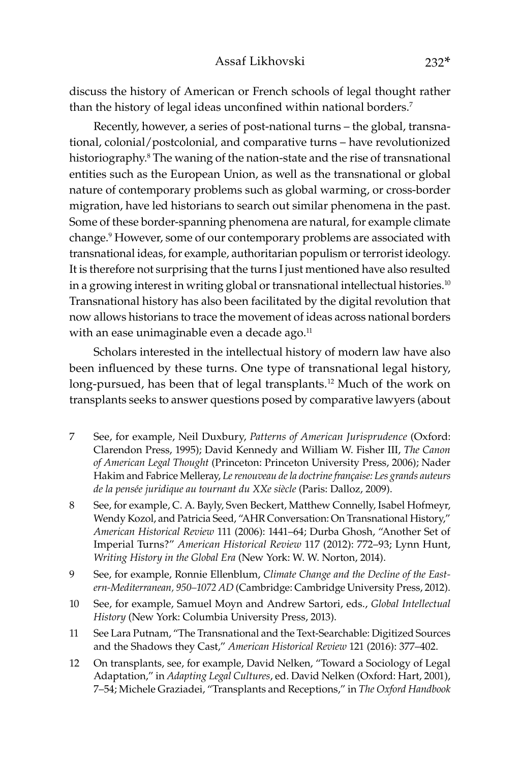discuss the history of American or French schools of legal thought rather than the history of legal ideas unconfined within national borders.<sup>7</sup>

Recently, however, a series of post-national turns – the global, transnational, colonial/postcolonial, and comparative turns – have revolutionized historiography.<sup>8</sup> The waning of the nation-state and the rise of transnational entities such as the European Union, as well as the transnational or global nature of contemporary problems such as global warming, or cross-border migration, have led historians to search out similar phenomena in the past. Some of these border-spanning phenomena are natural, for example climate change.9 However, some of our contemporary problems are associated with transnational ideas, for example, authoritarian populism or terrorist ideology. It is therefore not surprising that the turns I just mentioned have also resulted in a growing interest in writing global or transnational intellectual histories.<sup>10</sup> Transnational history has also been facilitated by the digital revolution that now allows historians to trace the movement of ideas across national borders with an ease unimaginable even a decade ago. $11$ 

Scholars interested in the intellectual history of modern law have also been influenced by these turns. One type of transnational legal history, long-pursued, has been that of legal transplants.<sup>12</sup> Much of the work on transplants seeks to answer questions posed by comparative lawyers (about

- 7 See, for example, Neil Duxbury, *Patterns of American Jurisprudence* (Oxford: Clarendon Press, 1995); David Kennedy and William W. Fisher III, *The Canon of American Legal Thought* (Princeton: Princeton University Press, 2006); Nader Hakim and Fabrice Melleray, *Le renouveau de la doctrine fran�aise: Les grands auteurs de la pensée juridique au tournant du XXe siècle* (Paris: Dalloz, 2009).
- 8 See, for example, C. A. Bayly, Sven Beckert, Matthew Connelly, Isabel Hofmeyr, Wendy Kozol, and Patricia Seed, "AHR Conversation: On Transnational History," *American Historical Review* 111 (2006): 1441–64; Durba Ghosh, "Another Set of Imperial Turns?" *American Historical Review* 117 (2012): 772–93; Lynn Hunt, *Writing History in the Global Era* (New York: W. W. Norton, 2014).
- 9 See, for example, Ronnie Ellenblum, *Climate Change and the Decline of the Eastern-Mediterranean, 950–1072 AD* (Cambridge: Cambridge University Press, 2012).
- 10 See, for example, Samuel Moyn and Andrew Sartori, eds., *Global Intellectual History* (New York: Columbia University Press, 2013).
- 11 See Lara Putnam, "The Transnational and the Text-Searchable: Digitized Sources and the Shadows they Cast," *American Historical Review* 121 (2016): 377–402.
- 12 On transplants, see, for example, David Nelken, "Toward a Sociology of Legal Adaptation," in *Adapting Legal Cultures*, ed. David Nelken (Oxford: Hart, 2001), 7–54; Michele Graziadei, "Transplants and Receptions," in *The Oxford Handbook*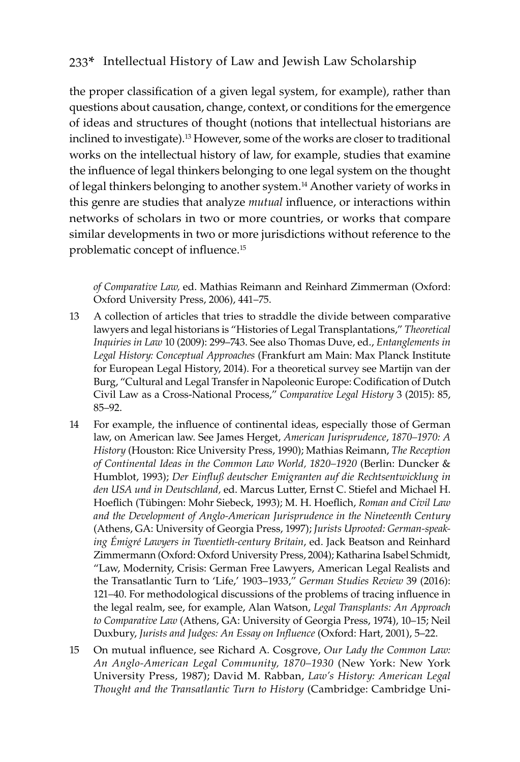the proper classification of a given legal system, for example), rather than questions about causation, change, context, or conditions for the emergence of ideas and structures of thought (notions that intellectual historians are inclined to investigate).13 However, some of the works are closer to traditional works on the intellectual history of law, for example, studies that examine the influence of legal thinkers belonging to one legal system on the thought of legal thinkers belonging to another system.14 Another variety of works in this genre are studies that analyze *mutual* influence, or interactions within networks of scholars in two or more countries, or works that compare similar developments in two or more jurisdictions without reference to the problematic concept of influence.<sup>15</sup>

*of Comparative Law,* ed. Mathias Reimann and Reinhard Zimmerman (Oxford: Oxford University Press, 2006), 441–75.

- 13 A collection of articles that tries to straddle the divide between comparative lawyers and legal historians is "Histories of Legal Transplantations," *Theoretical Inquiries in Law* 10 (2009): 299–743. See also Thomas Duve, ed., *Entanglements in Legal History: Conceptual Approaches* (Frankfurt am Main: Max Planck Institute for European Legal History, 2014). For a theoretical survey see Martijn van der Burg, "Cultural and Legal Transfer in Napoleonic Europe: Codification of Dutch Civil Law as a Cross-National Process," *Comparative Legal History* 3 (2015): 85, 85–92.
- 14 For example, the influence of continental ideas, especially those of German law, on American law. See James Herget, *American Jurisprudence*, *1870–1970: A History* (Houston: Rice University Press, 1990); Mathias Reimann, *The Reception of Continental Ideas in the Common Law World, 1820–1920* (Berlin: Duncker & Humblot, 1993); *Der Einfluß deutscher Emigranten auf die Rechtsentwicklung in den USA und in Deutschland,* ed. Marcus Lutter, Ernst C. Stiefel and Michael H. Hoeflich (Tübingen: Mohr Siebeck, 1993); M. H. Hoeflich, *Roman and Civil Law*  and the Development of Anglo-American Jurisprudence in the Nineteenth Century (Athens, GA: University of Georgia Press, 1997); *Jurists Uprooted: German-speaking Émigré Lawyers in Twentieth-century Britain*, ed. Jack Beatson and Reinhard Zimmermann (Oxford: Oxford University Press, 2004); Katharina Isabel Schmidt, "Law, Modernity, Crisis: German Free Lawyers, American Legal Realists and the Transatlantic Turn to 'Life,' 1903–1933," *German Studies Review* 39 (2016): 121–40. For methodological discussions of the problems of tracing influence in the legal realm, see, for example, Alan Watson, *Legal Transplants: An Approach to Comparative Law* (Athens, GA: University of Georgia Press, 1974), 10–15; Neil Duxbury, *Jurists and Judges: An Essay on Influence* (Oxford: Hart, 2001), 5–22.
- 15 On mutual influence, see Richard A. Cosgrove, *Our Lady the Common Law: An Anglo-American Legal Community, 1870–1930* (New York: New York University Press, 1987); David M. Rabban, *Law's History: American Legal Thought and the Transatlantic Turn to History* (Cambridge: Cambridge Uni-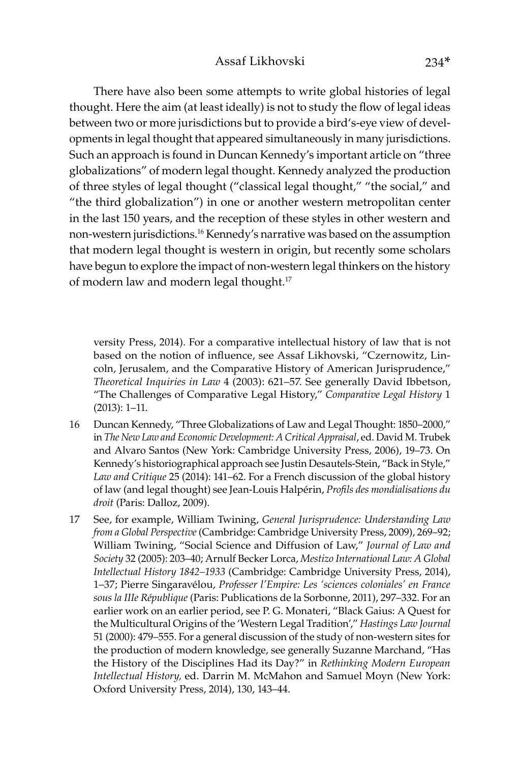There have also been some attempts to write global histories of legal thought. Here the aim (at least ideally) is not to study the flow of legal ideas between two or more jurisdictions but to provide a bird's-eye view of developments in legal thought that appeared simultaneously in many jurisdictions. Such an approach is found in Duncan Kennedy's important article on "three globalizations" of modern legal thought. Kennedy analyzed the production of three styles of legal thought ("classical legal thought," "the social," and "the third globalization") in one or another western metropolitan center in the last 150 years, and the reception of these styles in other western and non-western jurisdictions.16 Kennedy's narrative was based on the assumption that modern legal thought is western in origin, but recently some scholars have begun to explore the impact of non-western legal thinkers on the history of modern law and modern legal thought.17

versity Press, 2014). For a comparative intellectual history of law that is not based on the notion of influence, see Assaf Likhovski, "Czernowitz, Lincoln, Jerusalem, and the Comparative History of American Jurisprudence," *Theoretical Inquiries in Law* 4 (2003): 621–57. See generally David Ibbetson, "The Challenges of Comparative Legal History," *Comparative Legal History* 1 (2013): 1–11.

- 16 Duncan Kennedy, "Three Globalizations of Law and Legal Thought: 1850–2000," in *The New Law and Economic Development: A Critical Appraisal*, ed. David M. Trubek and Alvaro Santos (New York: Cambridge University Press, 2006), 19–73. On Kennedy's historiographical approach see Justin Desautels-Stein, "Back in Style," *Law and Critique* 25 (2014): 141–62. For a French discussion of the global history of law (and legal thought) see Jean-Louis Halpérin, *Profils des mondialisations du droit* (Paris: Dalloz, 2009).
- 17 See, for example, William Twining, *General Jurisprudence: Understanding Law from a Global Perspective* (Cambridge: Cambridge University Press, 2009), 269–92; William Twining, "Social Science and Diffusion of Law," *Journal of Law and Society* 32 (2005): 203–40; Arnulf Becker Lorca, *Mestizo International Law: A Global Intellectual History 1842–1933* (Cambridge: Cambridge University Press, 2014), 1–37; Pierre Singaravélou, *Professer l'Empire: Les 'sciences coloniales' en France sous la IIIe République* (Paris: Publications de la Sorbonne, 2011), 297–332. For an earlier work on an earlier period, see P. G. Monateri, "Black Gaius: A Quest for the Multicultural Origins of the 'Western Legal Tradition'," *Hastings Law Journal* 51 (2000): 479–555. For a general discussion of the study of non-western sites for the production of modern knowledge, see generally Suzanne Marchand, "Has the History of the Disciplines Had its Day?" in *Rethinking Modern European Intellectual History,* ed. Darrin M. McMahon and Samuel Moyn (New York: Oxford University Press, 2014), 130, 143–44.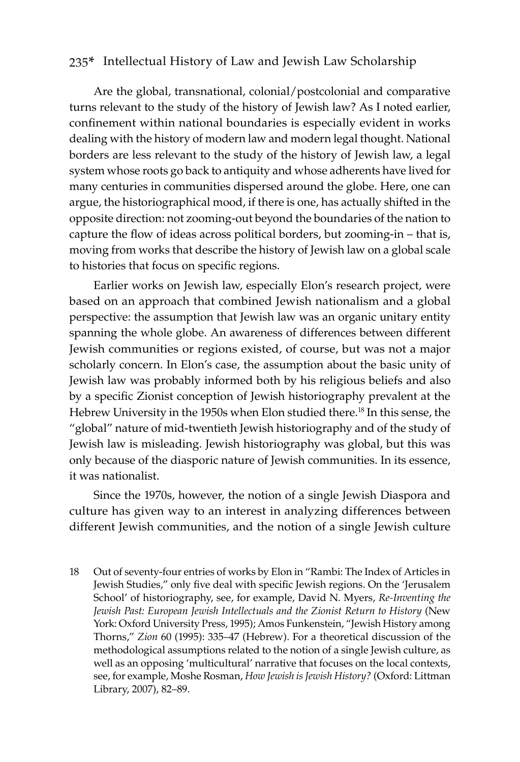Are the global, transnational, colonial/postcolonial and comparative turns relevant to the study of the history of Jewish law? As I noted earlier, confinement within national boundaries is especially evident in works dealing with the history of modern law and modern legal thought. National borders are less relevant to the study of the history of Jewish law, a legal system whose roots go back to antiquity and whose adherents have lived for many centuries in communities dispersed around the globe. Here, one can argue, the historiographical mood, if there is one, has actually shifted in the opposite direction: not zooming-out beyond the boundaries of the nation to capture the flow of ideas across political borders, but zooming-in – that is, moving from works that describe the history of Jewish law on a global scale to histories that focus on specific regions.

Earlier works on Jewish law, especially Elon's research project, were based on an approach that combined Jewish nationalism and a global perspective: the assumption that Jewish law was an organic unitary entity spanning the whole globe. An awareness of differences between different Jewish communities or regions existed, of course, but was not a major scholarly concern. In Elon's case, the assumption about the basic unity of Jewish law was probably informed both by his religious beliefs and also by a specific Zionist conception of Jewish historiography prevalent at the Hebrew University in the 1950s when Elon studied there.<sup>18</sup> In this sense, the "global" nature of mid-twentieth Jewish historiography and of the study of Jewish law is misleading. Jewish historiography was global, but this was only because of the diasporic nature of Jewish communities. In its essence, it was nationalist.

Since the 1970s, however, the notion of a single Jewish Diaspora and culture has given way to an interest in analyzing differences between different Jewish communities, and the notion of a single Jewish culture

18 Out of seventy-four entries of works by Elon in "Rambi: The Index of Articles in Jewish Studies," only five deal with specific Jewish regions. On the 'Jerusalem School' of historiography, see, for example, David N. Myers, *Re-Inventing the Jewish Past: European Jewish Intellectuals and the Zionist Return to History* (New York: Oxford University Press, 1995); Amos Funkenstein, "Jewish History among Thorns," *Zion* 60 (1995): 335–47 (Hebrew). For a theoretical discussion of the methodological assumptions related to the notion of a single Jewish culture, as well as an opposing 'multicultural' narrative that focuses on the local contexts, see, for example, Moshe Rosman, *How Jewish is Jewish History?* (Oxford: Littman Library, 2007), 82–89.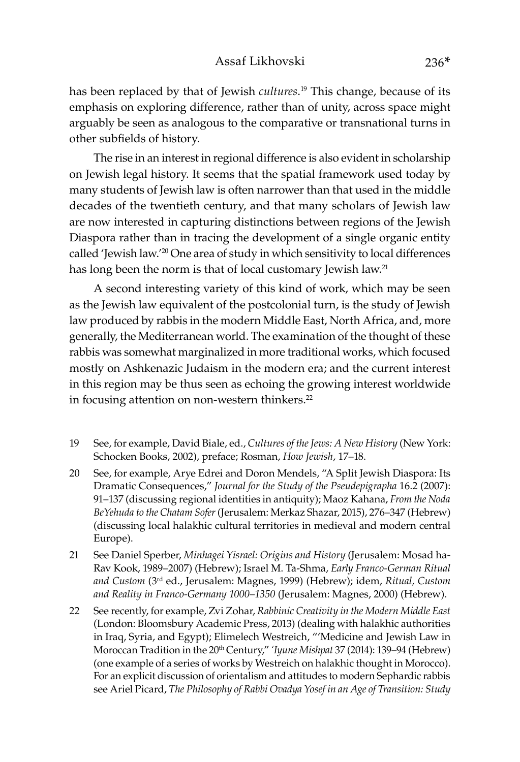has been replaced by that of Jewish *cultures*. 19 This change, because of its emphasis on exploring difference, rather than of unity, across space might arguably be seen as analogous to the comparative or transnational turns in other subfields of history.

The rise in an interest in regional difference is also evident in scholarship on Jewish legal history. It seems that the spatial framework used today by many students of Jewish law is often narrower than that used in the middle decades of the twentieth century, and that many scholars of Jewish law are now interested in capturing distinctions between regions of the Jewish Diaspora rather than in tracing the development of a single organic entity called 'Jewish law.'20 One area of study in which sensitivity to local differences has long been the norm is that of local customary Jewish law.<sup>21</sup>

A second interesting variety of this kind of work, which may be seen as the Jewish law equivalent of the postcolonial turn, is the study of Jewish law produced by rabbis in the modern Middle East, North Africa, and, more generally, the Mediterranean world. The examination of the thought of these rabbis was somewhat marginalized in more traditional works, which focused mostly on Ashkenazic Judaism in the modern era; and the current interest in this region may be thus seen as echoing the growing interest worldwide in focusing attention on non-western thinkers.<sup>22</sup>

- 19 See, for example, David Biale, ed., *Cultures of the Jews: A New History* (New York: Schocken Books, 2002), preface; Rosman, *How Jewish*, 17–18.
- 20 See, for example, Arye Edrei and Doron Mendels, "A Split Jewish Diaspora: Its Dramatic Consequences," *Journal for the Study of the Pseudepigrapha* 16.2 (2007): 91–137 (discussing regional identities in antiquity); Maoz Kahana, *From the Noda BeYehuda to the Chatam Sofer* (Jerusalem: Merkaz Shazar, 2015), 276–347 (Hebrew) (discussing local halakhic cultural territories in medieval and modern central Europe).
- 21 See Daniel Sperber, *Minhagei Yisrael: Origins and History* (Jerusalem: Mosad ha-Rav Kook, 1989–2007) (Hebrew); Israel M. Ta-Shma, *Early Franco-German Ritual and Custom* (3rd ed., Jerusalem: Magnes, 1999) (Hebrew); idem, *Ritual, Custom and Reality in Franco-Germany 1000–1350* (Jerusalem: Magnes, 2000) (Hebrew).
- 22 See recently, for example, Zvi Zohar, *Rabbinic Creativity in the Modern Middle East*  (London: Bloomsbury Academic Press, 2013) (dealing with halakhic authorities in Iraq, Syria, and Egypt); Elimelech Westreich, "'Medicine and Jewish Law in Moroccan Tradition in the 20<sup>th</sup> Century," 'Iyune Mishpat 37 (2014): 139-94 (Hebrew) (one example of a series of works by Westreich on halakhic thought in Morocco). For an explicit discussion of orientalism and attitudes to modern Sephardic rabbis see Ariel Picard, *The Philosophy of Rabbi Ovadya Yosef in an Age of Transition: Study*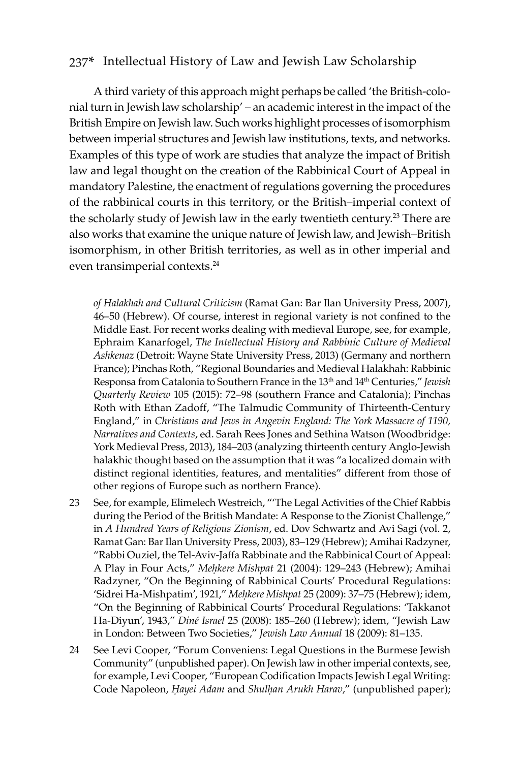A third variety of this approach might perhaps be called 'the British-colonial turn in Jewish law scholarship' – an academic interest in the impact of the British Empire on Jewish law. Such works highlight processes of isomorphism between imperial structures and Jewish law institutions, texts, and networks. Examples of this type of work are studies that analyze the impact of British law and legal thought on the creation of the Rabbinical Court of Appeal in mandatory Palestine, the enactment of regulations governing the procedures of the rabbinical courts in this territory, or the British–imperial context of the scholarly study of Jewish law in the early twentieth century.<sup>23</sup> There are also works that examine the unique nature of Jewish law, and Jewish–British isomorphism, in other British territories, as well as in other imperial and even transimperial contexts.<sup>24</sup>

*of Halakhah and Cultural Criticism* (Ramat Gan: Bar Ilan University Press, 2007), 46–50 (Hebrew). Of course, interest in regional variety is not confined to the Middle East. For recent works dealing with medieval Europe, see, for example, Ephraim Kanarfogel, *The Intellectual History and Rabbinic Culture of Medieval Ashkenaz* (Detroit: Wayne State University Press, 2013) (Germany and northern France); Pinchas Roth, "Regional Boundaries and Medieval Halakhah: Rabbinic Responsa from Catalonia to Southern France in the 13th and 14th Centuries," *Jewish Quarterly Review* 105 (2015): 72–98 (southern France and Catalonia); Pinchas Roth with Ethan Zadoff, "The Talmudic Community of Thirteenth-Century England," in *Christians and Jews in Angevin England: The York Massacre of 1190, Narratives and Contexts*, ed. Sarah Rees Jones and Sethina Watson (Woodbridge: York Medieval Press, 2013), 184–203 (analyzing thirteenth century Anglo-Jewish halakhic thought based on the assumption that it was "a localized domain with distinct regional identities, features, and mentalities" different from those of other regions of Europe such as northern France).

- 23 See, for example, Elimelech Westreich, "'The Legal Activities of the Chief Rabbis during the Period of the British Mandate: A Response to the Zionist Challenge," in *A Hundred Years of Religious Zionism*, ed. Dov Schwartz and Avi Sagi (vol. 2, Ramat Gan: Bar Ilan University Press, 2003), 83–129 (Hebrew); Amihai Radzyner, "Rabbi Ouziel, the Tel-Aviv-Jaffa Rabbinate and the Rabbinical Court of Appeal: A Play in Four Acts," *Meêkere Mishpat* 21 (2004): 129–243 (Hebrew); Amihai Radzyner, "On the Beginning of Rabbinical Courts' Procedural Regulations: 'Sidrei Ha-Mishpatim', 1921," *Meêkere Mishpat* 25 (2009): 37–75 (Hebrew); idem, "On the Beginning of Rabbinical Courts' Procedural Regulations: 'Takkanot Ha-Diyun', 1943," *Diné Israel* 25 (2008): 185–260 (Hebrew); idem, "Jewish Law in London: Between Two Societies," *Jewish Law Annual* 18 (2009): 81–135.
- 24 See Levi Cooper, "Forum Conveniens: Legal Questions in the Burmese Jewish Community" (unpublished paper). On Jewish law in other imperial contexts, see, for example, Levi Cooper, "European Codification Impacts Jewish Legal Writing: Code Napoleon, *Hayei Adam* and *Shulhan Arukh Harav*," (unpublished paper);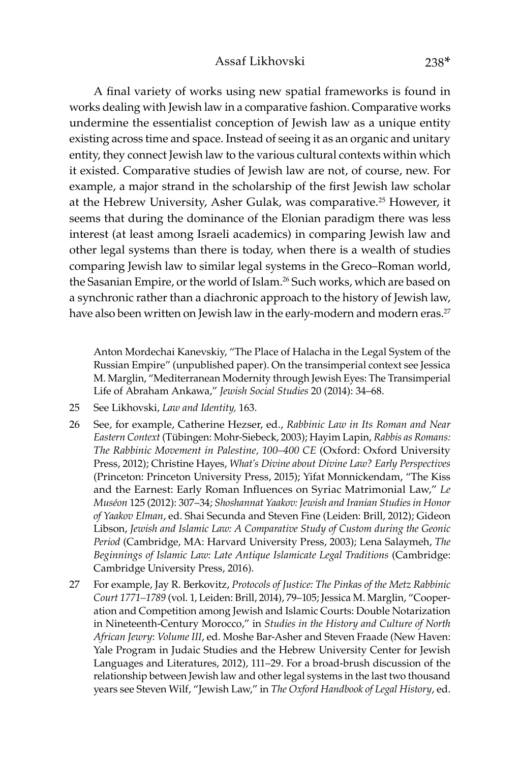A final variety of works using new spatial frameworks is found in works dealing with Jewish law in a comparative fashion. Comparative works undermine the essentialist conception of Jewish law as a unique entity existing across time and space. Instead of seeing it as an organic and unitary entity, they connect Jewish law to the various cultural contexts within which it existed. Comparative studies of Jewish law are not, of course, new. For example, a major strand in the scholarship of the first Jewish law scholar at the Hebrew University, Asher Gulak, was comparative.<sup>25</sup> However, it seems that during the dominance of the Elonian paradigm there was less interest (at least among Israeli academics) in comparing Jewish law and other legal systems than there is today, when there is a wealth of studies comparing Jewish law to similar legal systems in the Greco–Roman world, the Sasanian Empire, or the world of Islam.<sup>26</sup> Such works, which are based on a synchronic rather than a diachronic approach to the history of Jewish law, have also been written on Jewish law in the early-modern and modern eras.<sup>27</sup>

Anton Mordechai Kanevskiy, "The Place of Halacha in the Legal System of the Russian Empire" (unpublished paper). On the transimperial context see Jessica M. Marglin, "Mediterranean Modernity through Jewish Eyes: The Transimperial Life of Abraham Ankawa," *Jewish Social Studies* 20 (2014): 34–68.

- 25 See Likhovski, *Law and Identity,* 163.
- 26 See, for example, Catherine Hezser, ed., *Rabbinic Law in Its Roman and Near Eastern Context* (Tübingen: Mohr-Siebeck, 2003); Hayim Lapin, *Rabbis as Romans: The Rabbinic Movement in Palestine, 100–400 CE* (Oxford: Oxford University Press, 2012); Christine Hayes, *What's Divine about Divine Law? Early Perspectives* (Princeton: Princeton University Press, 2015); Yifat Monnickendam, "The Kiss and the Earnest: Early Roman Influences on Syriac Matrimonial Law," *Le Muséon* 125 (2012): 307–34; *Shoshannat Yaakov: Jewish and Iranian Studies in Honor of Yaakov Elman*, ed. Shai Secunda and Steven Fine (Leiden: Brill, 2012); Gideon Libson, *Jewish and Islamic Law: A Comparative Study of Custom during the Geonic Period* (Cambridge, MA: Harvard University Press, 2003); Lena Salaymeh, *The Beginnings of Islamic Law: Late Antique Islamicate Legal Traditions* (Cambridge: Cambridge University Press, 2016).
- 27 For example, Jay R. Berkovitz, *Protocols of Justice: The Pinkas of the Metz Rabbinic Court 1771–1789* (vol. 1, Leiden: Brill, 2014), 79–105; Jessica M. Marglin, "Cooperation and Competition among Jewish and Islamic Courts: Double Notarization in Nineteenth-Century Morocco," in *Studies in the History and Culture of North African Jewry*: *Volume III*, ed. Moshe Bar-Asher and Steven Fraade (New Haven: Yale Program in Judaic Studies and the Hebrew University Center for Jewish Languages and Literatures, 2012), 111–29. For a broad-brush discussion of the relationship between Jewish law and other legal systems in the last two thousand years see Steven Wilf, "Jewish Law," in *The Oxford Handbook of Legal History*, ed.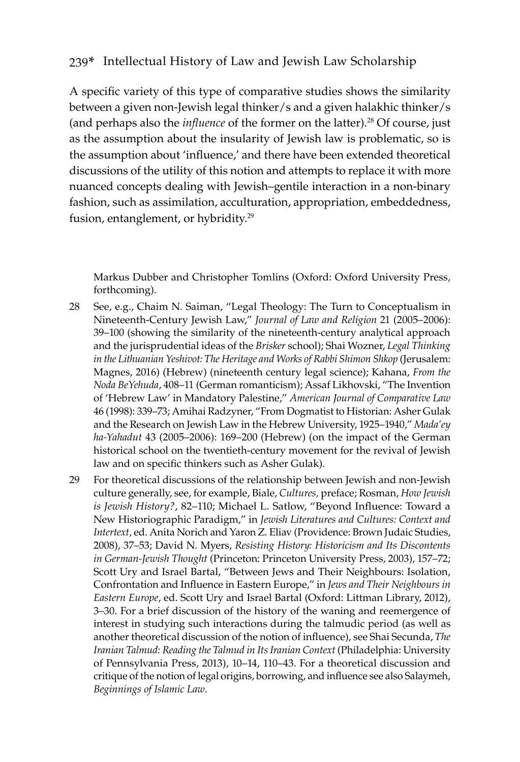A specific variety of this type of comparative studies shows the similarity between a given non-Jewish legal thinker/s and a given halakhic thinker/s (and perhaps also the *influence* of the former on the latter).<sup>28</sup> Of course, just as the assumption about the insularity of Jewish law is problematic, so is the assumption about 'influence,' and there have been extended theoretical discussions of the utility of this notion and attempts to replace it with more nuanced concepts dealing with Jewish–gentile interaction in a non-binary fashion, such as assimilation, acculturation, appropriation, embeddedness, fusion, entanglement, or hybridity.<sup>29</sup>

Markus Dubber and Christopher Tomlins (Oxford: Oxford University Press, forthcoming).

- 28 See, e.g., Chaim N. Saiman, "Legal Theology: The Turn to Conceptualism in Nineteenth-Century Jewish Law," *Journal of Law and Religion* 21 (2005–2006): 39–100 (showing the similarity of the nineteenth-century analytical approach and the jurisprudential ideas of the *Brisker* school); Shai Wozner, *Legal Thinking in the Lithuanian Yeshivot: The Heritage and Works of Rabbi Shimon Shkop* (Jerusalem: Magnes, 2016) (Hebrew) (nineteenth century legal science); Kahana, *From the Noda BeYehuda*, 408–11 (German romanticism); Assaf Likhovski, "The Invention of 'Hebrew Law' in Mandatory Palestine," *American Journal of Comparative Law* 46 (1998): 339–73; Amihai Radzyner, "From Dogmatist to Historian: Asher Gulak and the Research on Jewish Law in the Hebrew University, 1925–1940," *Mada'ey ha-Yahadut* 43 (2005–2006): 169–200 (Hebrew) (on the impact of the German historical school on the twentieth-century movement for the revival of Jewish law and on specific thinkers such as Asher Gulak).
- 29 For theoretical discussions of the relationship between Jewish and non-Jewish culture generally, see, for example, Biale, *Cultures,* preface; Rosman, *How Jewish is Jewish History?*, 82–110; Michael L. Satlow, "Beyond Influence: Toward a New Historiographic Paradigm," in *Jewish Literatures and Cultures: Context and Intertext*, ed. Anita Norich and Yaron Z. Eliav (Providence: Brown Judaic Studies, 2008), 37–53; David N. Myers, *Resisting History: Historicism and Its Discontents in German-Jewish Thought* (Princeton: Princeton University Press, 2003), 157–72; Scott Ury and Israel Bartal, "Between Jews and Their Neighbours: Isolation, Confrontation and Influence in Eastern Europe," in *Jews and Their Neighbours in Eastern Europe*, ed. Scott Ury and Israel Bartal (Oxford: Littman Library, 2012), 3–30. For a brief discussion of the history of the waning and reemergence of interest in studying such interactions during the talmudic period (as well as another theoretical discussion of the notion of influence), see Shai Secunda, *The Iranian Talmud: Reading the Talmud in Its Iranian Context* (Philadelphia: University of Pennsylvania Press, 2013), 10–14, 110–43. For a theoretical discussion and critique of the notion of legal origins, borrowing, and influence see also Salaymeh, *Beginnings of Islamic Law*.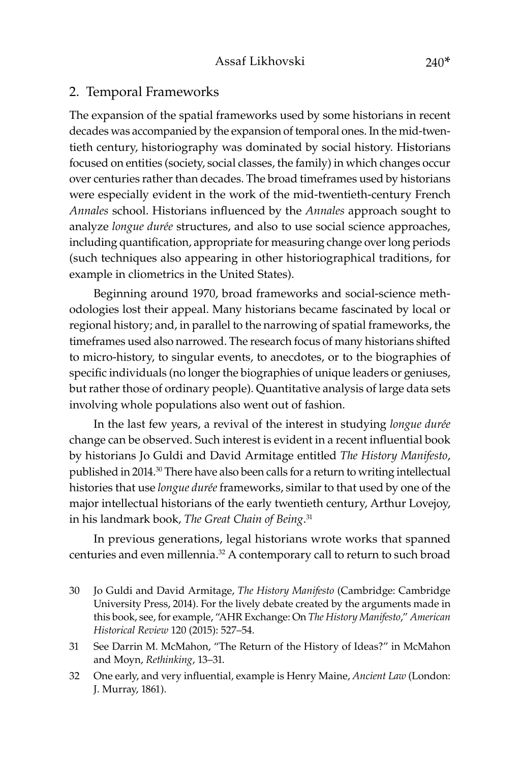#### 2. Temporal Frameworks

The expansion of the spatial frameworks used by some historians in recent decades was accompanied by the expansion of temporal ones. In the mid-twentieth century, historiography was dominated by social history. Historians focused on entities (society, social classes, the family) in which changes occur over centuries rather than decades. The broad timeframes used by historians were especially evident in the work of the mid-twentieth-century French *Annales* school. Historians influenced by the *Annales* approach sought to analyze *longue durée* structures, and also to use social science approaches, including quantification, appropriate for measuring change over long periods (such techniques also appearing in other historiographical traditions, for example in cliometrics in the United States).

Beginning around 1970, broad frameworks and social-science methodologies lost their appeal. Many historians became fascinated by local or regional history; and, in parallel to the narrowing of spatial frameworks, the timeframes used also narrowed. The research focus of many historians shifted to micro-history, to singular events, to anecdotes, or to the biographies of specific individuals (no longer the biographies of unique leaders or geniuses, but rather those of ordinary people). Quantitative analysis of large data sets involving whole populations also went out of fashion.

In the last few years, a revival of the interest in studying *longue durée*  change can be observed. Such interest is evident in a recent influential book by historians Jo Guldi and David Armitage entitled *The History Manifesto*, published in 2014.30 There have also been calls for a return to writing intellectual histories that use *longue durée* frameworks, similar to that used by one of the major intellectual historians of the early twentieth century, Arthur Lovejoy, in his landmark book, *The Great Chain of Being*. 31

In previous generations, legal historians wrote works that spanned centuries and even millennia.<sup>32</sup> A contemporary call to return to such broad

- 30 Jo Guldi and David Armitage, *The History Manifesto* (Cambridge: Cambridge University Press, 2014). For the lively debate created by the arguments made in this book, see, for example, "AHR Exchange: On *The History Manifesto*," *American Historical Review* 120 (2015): 527–54.
- 31 See Darrin M. McMahon, "The Return of the History of Ideas?" in McMahon and Moyn, *Rethinking*, 13–31.
- 32 One early, and very influential, example is Henry Maine, *Ancient Law* (London: J. Murray, 1861).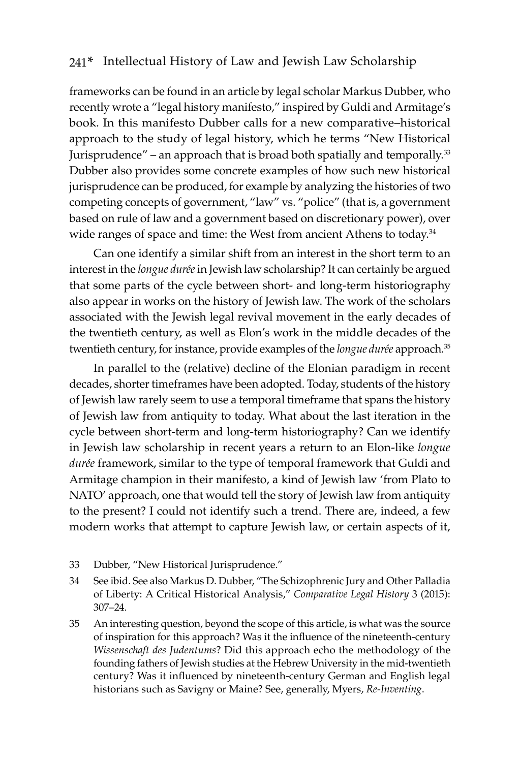frameworks can be found in an article by legal scholar Markus Dubber, who recently wrote a "legal history manifesto," inspired by Guldi and Armitage's book. In this manifesto Dubber calls for a new comparative–historical approach to the study of legal history, which he terms "New Historical Jurisprudence" – an approach that is broad both spatially and temporally.<sup>33</sup> Dubber also provides some concrete examples of how such new historical jurisprudence can be produced, for example by analyzing the histories of two competing concepts of government, "law" vs. "police" (that is, a government based on rule of law and a government based on discretionary power), over wide ranges of space and time: the West from ancient Athens to today.<sup>34</sup>

Can one identify a similar shift from an interest in the short term to an interest in the *longue durée* in Jewish law scholarship? It can certainly be argued that some parts of the cycle between short- and long-term historiography also appear in works on the history of Jewish law. The work of the scholars associated with the Jewish legal revival movement in the early decades of the twentieth century, as well as Elon's work in the middle decades of the twentieth century, for instance, provide examples of the *longue durée* approach.35

In parallel to the (relative) decline of the Elonian paradigm in recent decades, shorter timeframes have been adopted. Today, students of the history of Jewish law rarely seem to use a temporal timeframe that spans the history of Jewish law from antiquity to today. What about the last iteration in the cycle between short-term and long-term historiography? Can we identify in Jewish law scholarship in recent years a return to an Elon-like *longue durée* framework, similar to the type of temporal framework that Guldi and Armitage champion in their manifesto, a kind of Jewish law 'from Plato to NATO' approach, one that would tell the story of Jewish law from antiquity to the present? I could not identify such a trend. There are, indeed, a few modern works that attempt to capture Jewish law, or certain aspects of it,

- 33 Dubber, "New Historical Jurisprudence."
- 34 See ibid. See also Markus D. Dubber, "The Schizophrenic Jury and Other Palladia of Liberty: A Critical Historical Analysis," *Comparative Legal History* 3 (2015): 307–24.
- 35 An interesting question, beyond the scope of this article, is what was the source of inspiration for this approach? Was it the influence of the nineteenth-century *Wissenschaft des Judentums*? Did this approach echo the methodology of the founding fathers of Jewish studies at the Hebrew University in the mid-twentieth century? Was it influenced by nineteenth-century German and English legal historians such as Savigny or Maine? See, generally, Myers, *Re-Inventing*.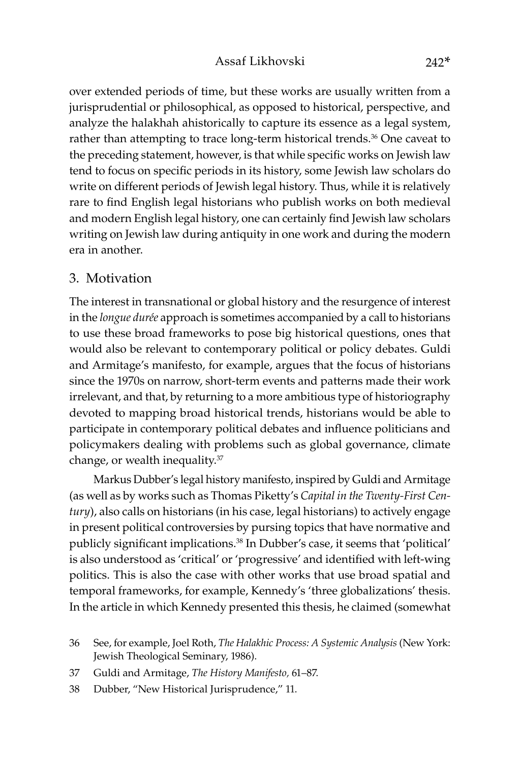over extended periods of time, but these works are usually written from a jurisprudential or philosophical, as opposed to historical, perspective, and analyze the halakhah ahistorically to capture its essence as a legal system, rather than attempting to trace long-term historical trends.<sup>36</sup> One caveat to the preceding statement, however, is that while specific works on Jewish law tend to focus on specific periods in its history, some Jewish law scholars do write on different periods of Jewish legal history. Thus, while it is relatively rare to find English legal historians who publish works on both medieval and modern English legal history, one can certainly find Jewish law scholars writing on Jewish law during antiquity in one work and during the modern era in another.

## 3. Motivation

The interest in transnational or global history and the resurgence of interest in the *longue durée* approach is sometimes accompanied by a call to historians to use these broad frameworks to pose big historical questions, ones that would also be relevant to contemporary political or policy debates. Guldi and Armitage's manifesto, for example, argues that the focus of historians since the 1970s on narrow, short-term events and patterns made their work irrelevant, and that, by returning to a more ambitious type of historiography devoted to mapping broad historical trends, historians would be able to participate in contemporary political debates and influence politicians and policymakers dealing with problems such as global governance, climate change, or wealth inequality.37

Markus Dubber's legal history manifesto, inspired by Guldi and Armitage (as well as by works such as Thomas Piketty's *Capital in the Twenty-First Century*), also calls on historians (in his case, legal historians) to actively engage in present political controversies by pursing topics that have normative and publicly significant implications.38 In Dubber's case, it seems that 'political' is also understood as 'critical' or 'progressive' and identified with left-wing politics. This is also the case with other works that use broad spatial and temporal frameworks, for example, Kennedy's 'three globalizations' thesis. In the article in which Kennedy presented this thesis, he claimed (somewhat

- 37 Guldi and Armitage, *The History Manifesto,* 61–87.
- 38 Dubber, "New Historical Jurisprudence," 11.

<sup>36</sup> See, for example, Joel Roth, *The Halakhic Process: A Systemic Analysis* (New York: Jewish Theological Seminary, 1986).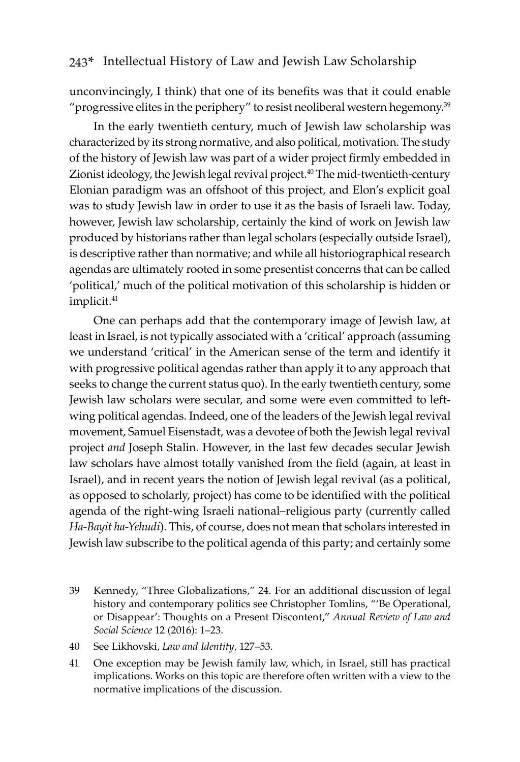unconvincingly, I think) that one of its benefits was that it could enable "progressive elites in the periphery" to resist neoliberal western hegemony.<sup>39</sup>

In the early twentieth century, much of Jewish law scholarship was characterized by its strong normative, and also political, motivation. The study of the history of Jewish law was part of a wider project firmly embedded in Zionist ideology, the Jewish legal revival project.<sup>40</sup> The mid-twentieth-century Elonian paradigm was an offshoot of this project, and Elon's explicit goal was to study Jewish law in order to use it as the basis of Israeli law. Today, however, Jewish law scholarship, certainly the kind of work on Jewish law produced by historians rather than legal scholars (especially outside Israel), is descriptive rather than normative; and while all historiographical research agendas are ultimately rooted in some presentist concerns that can be called 'political,' much of the political motivation of this scholarship is hidden or implicit.<sup>41</sup>

One can perhaps add that the contemporary image of Jewish law, at least in Israel, is not typically associated with a 'critical' approach (assuming we understand 'critical' in the American sense of the term and identify it with progressive political agendas rather than apply it to any approach that seeks to change the current status quo). In the early twentieth century, some Jewish law scholars were secular, and some were even committed to leftwing political agendas. Indeed, one of the leaders of the Jewish legal revival movement, Samuel Eisenstadt, was a devotee of both the Jewish legal revival project *and* Joseph Stalin. However, in the last few decades secular Jewish law scholars have almost totally vanished from the field (again, at least in Israel), and in recent years the notion of Jewish legal revival (as a political, as opposed to scholarly, project) has come to be identified with the political agenda of the right-wing Israeli national–religious party (currently called *Ha-Bayit ha-Yehudi*). This, of course, does not mean that scholars interested in Jewish law subscribe to the political agenda of this party; and certainly some

- 39 Kennedy, "Three Globalizations," 24. For an additional discussion of legal history and contemporary politics see Christopher Tomlins, "'Be Operational, or Disappear': Thoughts on a Present Discontent," *Annual Review of Law and Social Science* 12 (2016): 1–23.
- 40 See Likhovski, *Law and Identity*, 127–53.
- 41 One exception may be Jewish family law, which, in Israel, still has practical implications. Works on this topic are therefore often written with a view to the normative implications of the discussion.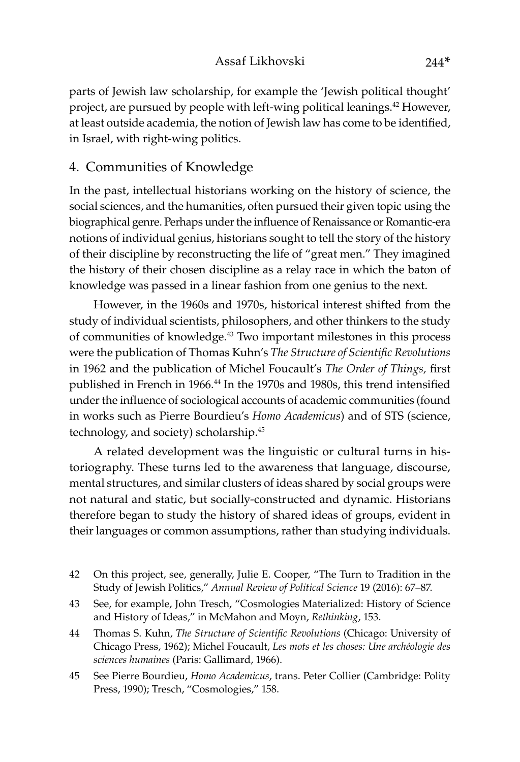parts of Jewish law scholarship, for example the 'Jewish political thought' project, are pursued by people with left-wing political leanings.<sup>42</sup> However, at least outside academia, the notion of Jewish law has come to be identified, in Israel, with right-wing politics.

## 4. Communities of Knowledge

In the past, intellectual historians working on the history of science, the social sciences, and the humanities, often pursued their given topic using the biographical genre. Perhaps under the influence of Renaissance or Romantic-era notions of individual genius, historians sought to tell the story of the history of their discipline by reconstructing the life of "great men." They imagined the history of their chosen discipline as a relay race in which the baton of knowledge was passed in a linear fashion from one genius to the next.

However, in the 1960s and 1970s, historical interest shifted from the study of individual scientists, philosophers, and other thinkers to the study of communities of knowledge.43 Two important milestones in this process were the publication of Thomas Kuhn's *The Structure of Scientific Revolutions*  in 1962 and the publication of Michel Foucault's *The Order of Things,* first published in French in 1966.<sup>44</sup> In the 1970s and 1980s, this trend intensified under the influence of sociological accounts of academic communities (found in works such as Pierre Bourdieu's *Homo Academicus*) and of STS (science, technology, and society) scholarship.45

A related development was the linguistic or cultural turns in historiography. These turns led to the awareness that language, discourse, mental structures, and similar clusters of ideas shared by social groups were not natural and static, but socially-constructed and dynamic. Historians therefore began to study the history of shared ideas of groups, evident in their languages or common assumptions, rather than studying individuals.

- 42 On this project, see, generally, Julie E. Cooper, "The Turn to Tradition in the Study of Jewish Politics," *Annual Review of Political Science* 19 (2016): 67–87.
- 43 See, for example, John Tresch, "Cosmologies Materialized: History of Science and History of Ideas," in McMahon and Moyn, *Rethinking*, 153.
- 44 Thomas S. Kuhn, *The Structure of Scientific Revolutions* (Chicago: University of Chicago Press, 1962); Michel Foucault, *Les mots et les choses: Une archéologie des sciences humaines* (Paris: Gallimard, 1966).
- 45 See Pierre Bourdieu, *Homo Academicus*, trans. Peter Collier (Cambridge: Polity Press, 1990); Tresch, "Cosmologies," 158.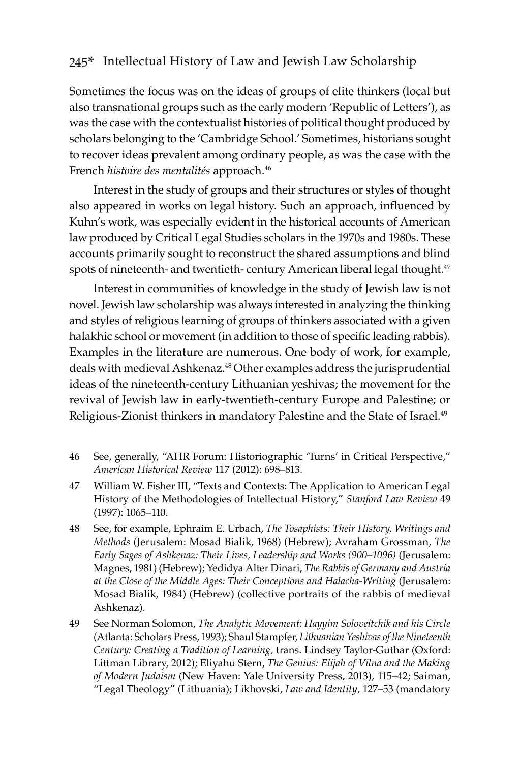Sometimes the focus was on the ideas of groups of elite thinkers (local but also transnational groups such as the early modern 'Republic of Letters'), as was the case with the contextualist histories of political thought produced by scholars belonging to the 'Cambridge School.' Sometimes, historians sought to recover ideas prevalent among ordinary people, as was the case with the French *histoire des mentalités* approach.<sup>46</sup>

Interest in the study of groups and their structures or styles of thought also appeared in works on legal history. Such an approach, influenced by Kuhn's work, was especially evident in the historical accounts of American law produced by Critical Legal Studies scholars in the 1970s and 1980s. These accounts primarily sought to reconstruct the shared assumptions and blind spots of nineteenth- and twentieth- century American liberal legal thought.<sup>47</sup>

Interest in communities of knowledge in the study of Jewish law is not novel. Jewish law scholarship was always interested in analyzing the thinking and styles of religious learning of groups of thinkers associated with a given halakhic school or movement (in addition to those of specific leading rabbis). Examples in the literature are numerous. One body of work, for example, deals with medieval Ashkenaz.<sup>48</sup> Other examples address the jurisprudential ideas of the nineteenth-century Lithuanian yeshivas; the movement for the revival of Jewish law in early-twentieth-century Europe and Palestine; or Religious-Zionist thinkers in mandatory Palestine and the State of Israel.<sup>49</sup>

- 46 See, generally, "AHR Forum: Historiographic 'Turns' in Critical Perspective," *American Historical Review* 117 (2012): 698–813.
- 47 William W. Fisher III, "Texts and Contexts: The Application to American Legal History of the Methodologies of Intellectual History," *Stanford Law Review* 49 (1997): 1065–110.
- 48 See, for example, Ephraim E. Urbach, *The Tosaphists: Their History, Writings and Methods* (Jerusalem: Mosad Bialik, 1968) (Hebrew); Avraham Grossman, *The Early Sages of Ashkenaz: Their Lives, Leadership and Works (900*–*1096)* (Jerusalem: Magnes, 1981) (Hebrew); Yedidya Alter Dinari, *The Rabbis of Germany and Austria at the Close of the Middle Ages: Their Conceptions and Halacha-Writing* (Jerusalem: Mosad Bialik, 1984) (Hebrew) (collective portraits of the rabbis of medieval Ashkenaz).
- 49 See Norman Solomon, *The Analytic Movement: Hayyim Soloveitchik and his Circle*  (Atlanta: Scholars Press, 1993); Shaul Stampfer, *Lithuanian Yeshivas of the Nineteenth Century: Creating a Tradition of Learning,* trans. Lindsey Taylor-Guthar (Oxford: Littman Library, 2012); Eliyahu Stern, *The Genius: Elijah of Vilna and the Making of Modern Judaism* (New Haven: Yale University Press, 2013), 115–42; Saiman, "Legal Theology" (Lithuania); Likhovski, *Law and Identity*, 127–53 (mandatory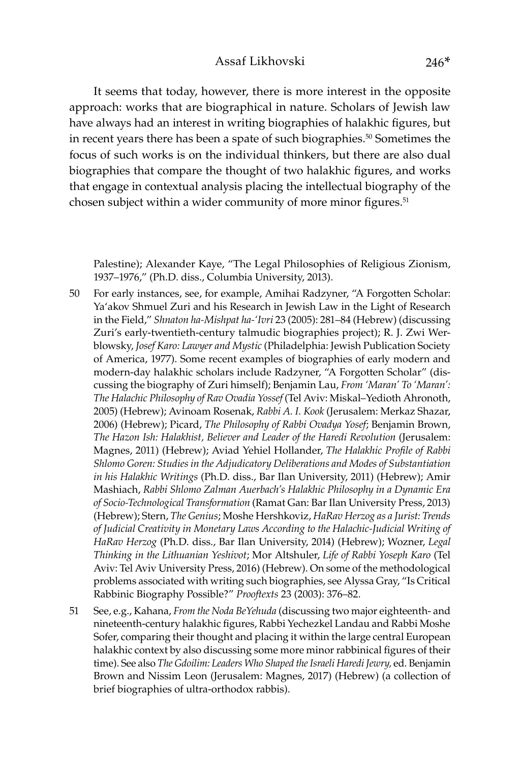It seems that today, however, there is more interest in the opposite approach: works that are biographical in nature. Scholars of Jewish law have always had an interest in writing biographies of halakhic figures, but in recent years there has been a spate of such biographies.<sup>50</sup> Sometimes the focus of such works is on the individual thinkers, but there are also dual biographies that compare the thought of two halakhic figures, and works that engage in contextual analysis placing the intellectual biography of the chosen subject within a wider community of more minor figures.<sup>51</sup>

Palestine); Alexander Kaye, "The Legal Philosophies of Religious Zionism, 1937–1976," (Ph.D. diss., Columbia University, 2013).

- 50 For early instances, see, for example, Amihai Radzyner, "A Forgotten Scholar: Ya'akov Shmuel Zuri and his Research in Jewish Law in the Light of Research in the Field," *Shnaton ha-Mishpat ha-'Ivri* 23 (2005): 281–84 (Hebrew) (discussing Zuri's early-twentieth-century talmudic biographies project); R. J. Zwi Werblowsky, *Josef Karo: Lawyer and Mystic* (Philadelphia: Jewish Publication Society of America, 1977). Some recent examples of biographies of early modern and modern-day halakhic scholars include Radzyner, "A Forgotten Scholar" (discussing the biography of Zuri himself); Benjamin Lau, *From 'Maran' To 'Maran': The Halachic Philosophy of Rav Ovadia Yossef* (Tel Aviv: Miskal–Yedioth Ahronoth, 2005) (Hebrew); Avinoam Rosenak, *Rabbi A. I. Kook* (Jerusalem: Merkaz Shazar, 2006) (Hebrew); Picard, *The Philosophy of Rabbi Ovadya Yosef*; Benjamin Brown, *The Hazon Ish: Halakhist, Believer and Leader of the Haredi Revolution* (Jerusalem: Magnes, 2011) (Hebrew); Aviad Yehiel Hollander, *The Halakhic Profile of Rabbi Shlomo Goren: Studies in the Adjudicatory Deliberations and Modes of Substantiation in his Halakhic Writings* (Ph.D. diss., Bar Ilan University, 2011) (Hebrew); Amir Mashiach, *Rabbi Shlomo Zalman Auerbach's Halakhic Philosophy in a Dynamic Era of Socio-Technological Transformation* (Ramat Gan: Bar Ilan University Press, 2013) (Hebrew); Stern, *The Genius*; Moshe Hershkoviz, *HaRav Herzog as a Jurist: Trends of Judicial Creativity in Monetary Laws According to the Halachic-Judicial Writing of HaRav Herzog* (Ph.D. diss., Bar Ilan University, 2014) (Hebrew); Wozner, *Legal Thinking in the Lithuanian Yeshivot*; Mor Altshuler, *Life of Rabbi Yoseph Karo* (Tel Aviv: Tel Aviv University Press, 2016) (Hebrew). On some of the methodological problems associated with writing such biographies, see Alyssa Gray, "Is Critical Rabbinic Biography Possible?" *Prooftexts* 23 (2003): 376–82.
- 51 See, e.g., Kahana, *From the Noda BeYehuda* (discussing two major eighteenth- and nineteenth-century halakhic figures, Rabbi Yechezkel Landau and Rabbi Moshe Sofer, comparing their thought and placing it within the large central European halakhic context by also discussing some more minor rabbinical figures of their time). See also *The Gdoilim: Leaders Who Shaped the Israeli Haredi Jewry,* ed. Benjamin Brown and Nissim Leon (Jerusalem: Magnes, 2017) (Hebrew) (a collection of brief biographies of ultra-orthodox rabbis).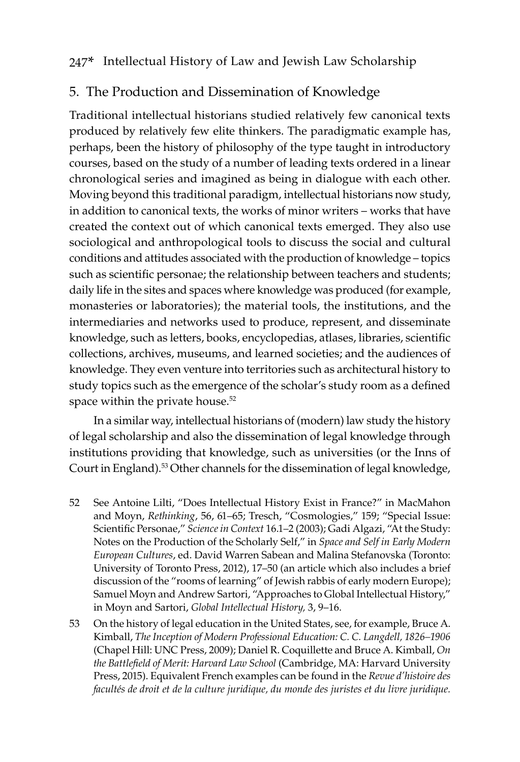## 5. The Production and Dissemination of Knowledge

Traditional intellectual historians studied relatively few canonical texts produced by relatively few elite thinkers. The paradigmatic example has, perhaps, been the history of philosophy of the type taught in introductory courses, based on the study of a number of leading texts ordered in a linear chronological series and imagined as being in dialogue with each other. Moving beyond this traditional paradigm, intellectual historians now study, in addition to canonical texts, the works of minor writers – works that have created the context out of which canonical texts emerged. They also use sociological and anthropological tools to discuss the social and cultural conditions and attitudes associated with the production of knowledge – topics such as scientific personae; the relationship between teachers and students; daily life in the sites and spaces where knowledge was produced (for example, monasteries or laboratories); the material tools, the institutions, and the intermediaries and networks used to produce, represent, and disseminate knowledge, such as letters, books, encyclopedias, atlases, libraries, scientific collections, archives, museums, and learned societies; and the audiences of knowledge. They even venture into territories such as architectural history to study topics such as the emergence of the scholar's study room as a defined space within the private house.<sup>52</sup>

In a similar way, intellectual historians of (modern) law study the history of legal scholarship and also the dissemination of legal knowledge through institutions providing that knowledge, such as universities (or the Inns of Court in England).53 Other channels for the dissemination of legal knowledge,

- 52 See Antoine Lilti, "Does Intellectual History Exist in France?" in MacMahon and Moyn, *Rethinking*, 56, 61–65; Tresch, "Cosmologies," 159; "Special Issue: Scientific Personae," *Science in Context* 16.1–2 (2003); Gadi Algazi, "At the Study: Notes on the Production of the Scholarly Self," in *Space and Self in Early Modern European Cultures*, ed. David Warren Sabean and Malina Stefanovska (Toronto: University of Toronto Press, 2012), 17–50 (an article which also includes a brief discussion of the "rooms of learning" of Jewish rabbis of early modern Europe); Samuel Moyn and Andrew Sartori, "Approaches to Global Intellectual History," in Moyn and Sartori, *Global Intellectual History,* 3, 9–16.
- 53 On the history of legal education in the United States, see, for example, Bruce A. Kimball, *The Inception of Modern Professional Education: C. C. Langdell, 1826–1906*  (Chapel Hill: UNC Press, 2009); Daniel R. Coquillette and Bruce A. Kimball, *On the Battlefield of Merit: Harvard Law School* (Cambridge, MA: Harvard University Press, 2015). Equivalent French examples can be found in the *Revue d'histoire des facultés de droit et de la culture juridique, du monde des juristes et du livre juridique.*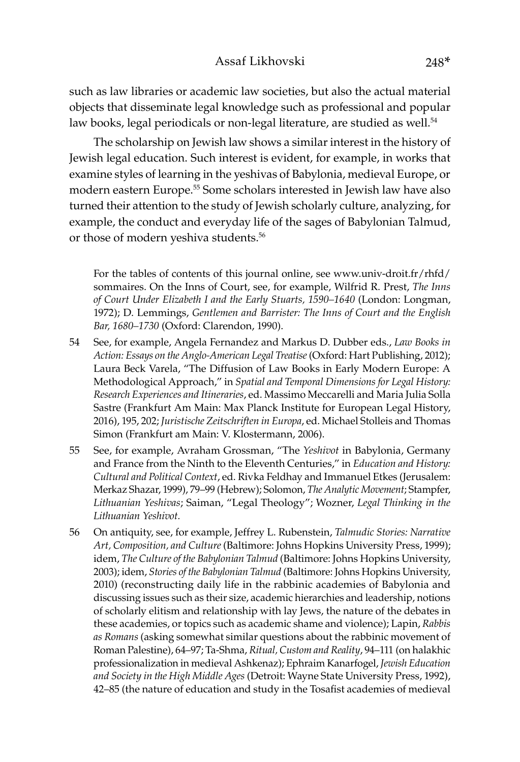such as law libraries or academic law societies, but also the actual material objects that disseminate legal knowledge such as professional and popular law books, legal periodicals or non-legal literature, are studied as well.<sup>54</sup>

The scholarship on Jewish law shows a similar interest in the history of Jewish legal education. Such interest is evident, for example, in works that examine styles of learning in the yeshivas of Babylonia, medieval Europe, or modern eastern Europe.55 Some scholars interested in Jewish law have also turned their attention to the study of Jewish scholarly culture, analyzing, for example, the conduct and everyday life of the sages of Babylonian Talmud, or those of modern yeshiva students.<sup>56</sup>

For the tables of contents of this journal online, see www.univ-droit.fr/rhfd/ sommaires. On the Inns of Court, see, for example, Wilfrid R. Prest, *The Inns of Court Under Elizabeth I and the Early Stuarts, 1590–1640* (London: Longman, 1972); D. Lemmings, *Gentlemen and Barrister: The Inns of Court and the English Bar, 1680–1730* (Oxford: Clarendon, 1990).

- 54 See, for example, Angela Fernandez and Markus D. Dubber eds., *Law Books in Action: Essays on the Anglo-American Legal Treatise* (Oxford: Hart Publishing, 2012); Laura Beck Varela, "The Diffusion of Law Books in Early Modern Europe: A Methodological Approach," in *Spatial and Temporal Dimensions for Legal History: Research Experiences and Itineraries*, ed. Massimo Meccarelli and Maria Julia Solla Sastre (Frankfurt Am Main: Max Planck Institute for European Legal History, 2016), 195, 202; *Juristische Zeitschriften in Europa*, ed. Michael Stolleis and Thomas Simon (Frankfurt am Main: V. Klostermann, 2006).
- 55 See, for example, Avraham Grossman, "The *Yeshivot* in Babylonia, Germany and France from the Ninth to the Eleventh Centuries," in *Education and History: Cultural and Political Context*, ed. Rivka Feldhay and Immanuel Etkes (Jerusalem: Merkaz Shazar, 1999), 79–99 (Hebrew); Solomon, *The Analytic Movement*; Stampfer, *Lithuanian Yeshivas*; Saiman, "Legal Theology"; Wozner, *Legal Thinking in the Lithuanian Yeshivot.*
- 56 On antiquity, see, for example, Jeffrey L. Rubenstein, *Talmudic Stories: Narrative Art, Composition, and Culture* (Baltimore: Johns Hopkins University Press, 1999); idem, *The Culture of the Babylonian Talmud* (Baltimore: Johns Hopkins University, 2003); idem, *Stories of the Babylonian Talmud* (Baltimore: Johns Hopkins University, 2010) (reconstructing daily life in the rabbinic academies of Babylonia and discussing issues such as their size, academic hierarchies and leadership, notions of scholarly elitism and relationship with lay Jews, the nature of the debates in these academies, or topics such as academic shame and violence); Lapin, *Rabbis as Romans* (asking somewhat similar questions about the rabbinic movement of Roman Palestine), 64–97; Ta-Shma, *Ritual, Custom and Reality*, 94–111 (on halakhic professionalization in medieval Ashkenaz); Ephraim Kanarfogel, *Jewish Education and Society in the High Middle Ages* (Detroit: Wayne State University Press, 1992), 42–85 (the nature of education and study in the Tosafist academies of medieval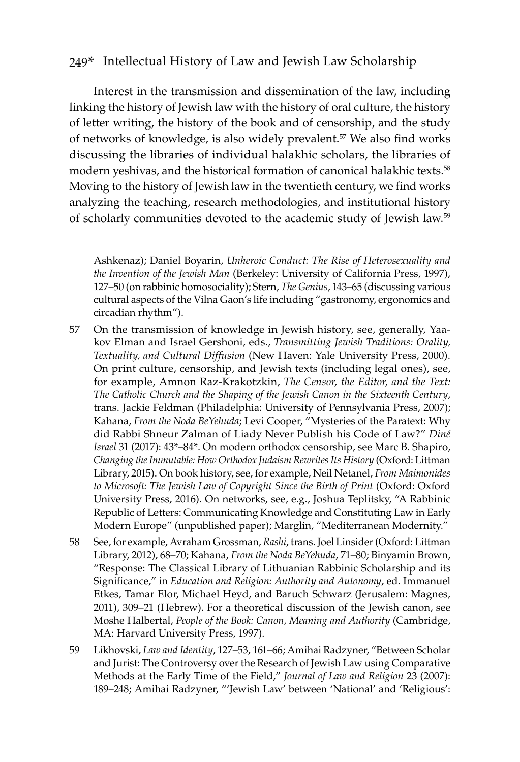Interest in the transmission and dissemination of the law, including linking the history of Jewish law with the history of oral culture, the history of letter writing, the history of the book and of censorship, and the study of networks of knowledge, is also widely prevalent.<sup>57</sup> We also find works discussing the libraries of individual halakhic scholars, the libraries of modern yeshivas, and the historical formation of canonical halakhic texts.<sup>58</sup> Moving to the history of Jewish law in the twentieth century, we find works analyzing the teaching, research methodologies, and institutional history of scholarly communities devoted to the academic study of Jewish law.59

Ashkenaz); Daniel Boyarin, *Unheroic Conduct: The Rise of Heterosexuality and the Invention of the Jewish Man* (Berkeley: University of California Press, 1997), 127–50 (on rabbinic homosociality); Stern, *The Genius*, 143–65 (discussing various cultural aspects of the Vilna Gaon's life including "gastronomy, ergonomics and circadian rhythm").

- 57 On the transmission of knowledge in Jewish history, see, generally, Yaakov Elman and Israel Gershoni, eds., *Transmitting Jewish Traditions: Orality, Textuality, and Cultural Diffusion* (New Haven: Yale University Press, 2000). On print culture, censorship, and Jewish texts (including legal ones), see, for example, Amnon Raz-Krakotzkin, *The Censor, the Editor, and the Text: The Catholic Church and the Shaping of the Jewish Canon in the Sixteenth Century*, trans. Jackie Feldman (Philadelphia: University of Pennsylvania Press, 2007); Kahana, *From the Noda BeYehuda*; Levi Cooper, "Mysteries of the Paratext: Why did Rabbi Shneur Zalman of Liady Never Publish his Code of Law?" *Diné Israel* 31 (2017): 43\*–84\*. On modern orthodox censorship, see Marc B. Shapiro, *Changing the Immutable: How Orthodox Judaism Rewrites Its History* (Oxford: Littman Library, 2015). On book history, see, for example, Neil Netanel, *From Maimonides to Microsoft: The Jewish Law of Copyright Since the Birth of Print* (Oxford: Oxford University Press, 2016). On networks, see, e.g., Joshua Teplitsky, "A Rabbinic Republic of Letters: Communicating Knowledge and Constituting Law in Early Modern Europe" (unpublished paper); Marglin, "Mediterranean Modernity."
- 58 See, for example, Avraham Grossman, *Rashi*, trans. Joel Linsider (Oxford: Littman Library, 2012), 68–70; Kahana, *From the Noda BeYehuda*, 71–80; Binyamin Brown, "Response: The Classical Library of Lithuanian Rabbinic Scholarship and its Significance," in *Education and Religion: Authority and Autonomy*, ed. Immanuel Etkes, Tamar Elor, Michael Heyd, and Baruch Schwarz (Jerusalem: Magnes, 2011), 309–21 (Hebrew). For a theoretical discussion of the Jewish canon, see Moshe Halbertal, *People of the Book: Canon, Meaning and Authority* (Cambridge, MA: Harvard University Press, 1997).
- 59 Likhovski, *Law and Identity*, 127–53, 161–66; Amihai Radzyner, "Between Scholar and Jurist: The Controversy over the Research of Jewish Law using Comparative Methods at the Early Time of the Field," *Journal of Law and Religion* 23 (2007): 189–248; Amihai Radzyner, "'Jewish Law' between 'National' and 'Religious':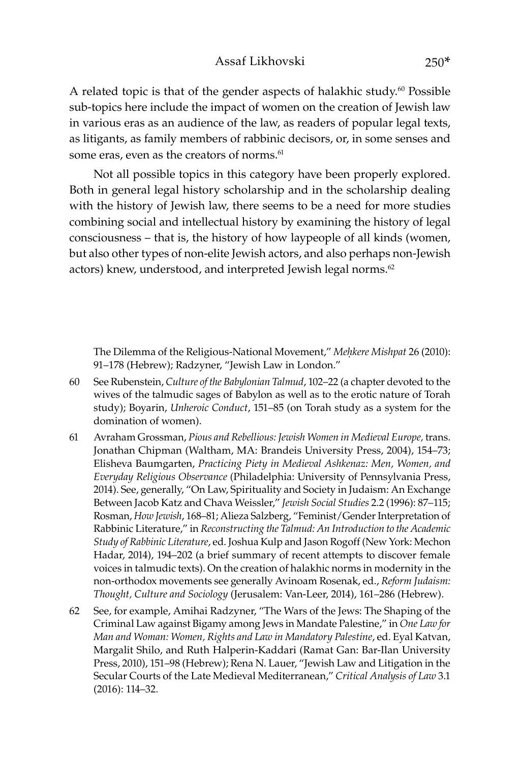A related topic is that of the gender aspects of halakhic study.<sup>60</sup> Possible sub-topics here include the impact of women on the creation of Jewish law in various eras as an audience of the law, as readers of popular legal texts, as litigants, as family members of rabbinic decisors, or, in some senses and some eras, even as the creators of norms.<sup>61</sup>

Not all possible topics in this category have been properly explored. Both in general legal history scholarship and in the scholarship dealing with the history of Jewish law, there seems to be a need for more studies combining social and intellectual history by examining the history of legal consciousness – that is, the history of how laypeople of all kinds (women, but also other types of non-elite Jewish actors, and also perhaps non-Jewish actors) knew, understood, and interpreted Jewish legal norms.<sup>62</sup>

The Dilemma of the Religious-National Movement," Mehkere Mishpat 26 (2010): 91–178 (Hebrew); Radzyner, "Jewish Law in London."

- 60 See Rubenstein, *Culture of the Babylonian Talmud*, 102–22 (a chapter devoted to the wives of the talmudic sages of Babylon as well as to the erotic nature of Torah study); Boyarin, *Unheroic Conduct*, 151–85 (on Torah study as a system for the domination of women).
- 61 Avraham Grossman, *Pious and Rebellious: Jewish Women in Medieval Europe,* trans. Jonathan Chipman (Waltham, MA: Brandeis University Press, 2004), 154–73; Elisheva Baumgarten, *Practicing Piety in Medieval Ashkenaz: Men, Women, and Everyday Religious Observance* (Philadelphia: University of Pennsylvania Press, 2014). See, generally, "On Law, Spirituality and Society in Judaism: An Exchange Between Jacob Katz and Chava Weissler," *Jewish Social Studies* 2.2 (1996): 87–115; Rosman, *How Jewish*, 168–81; Alieza Salzberg, "Feminist/Gender Interpretation of Rabbinic Literature," in *Reconstructing the Talmud: An Introduction to the Academic Study of Rabbinic Literature*, ed. Joshua Kulp and Jason Rogoff (New York: Mechon Hadar, 2014), 194–202 (a brief summary of recent attempts to discover female voices in talmudic texts). On the creation of halakhic norms in modernity in the non-orthodox movements see generally Avinoam Rosenak, ed., *Reform Judaism: Thought, Culture and Sociology* (Jerusalem: Van-Leer, 2014), 161–286 (Hebrew).
- 62 See, for example, Amihai Radzyner, "The Wars of the Jews: The Shaping of the Criminal Law against Bigamy among Jews in Mandate Palestine," in *One Law for Man and Woman: Women, Rights and Law in Mandatory Palestine*, ed. Eyal Katvan, Margalit Shilo, and Ruth Halperin-Kaddari (Ramat Gan: Bar-Ilan University Press, 2010), 151–98 (Hebrew); Rena N. Lauer, "Jewish Law and Litigation in the Secular Courts of the Late Medieval Mediterranean," *Critical Analysis of Law* 3.1 (2016): 114–32.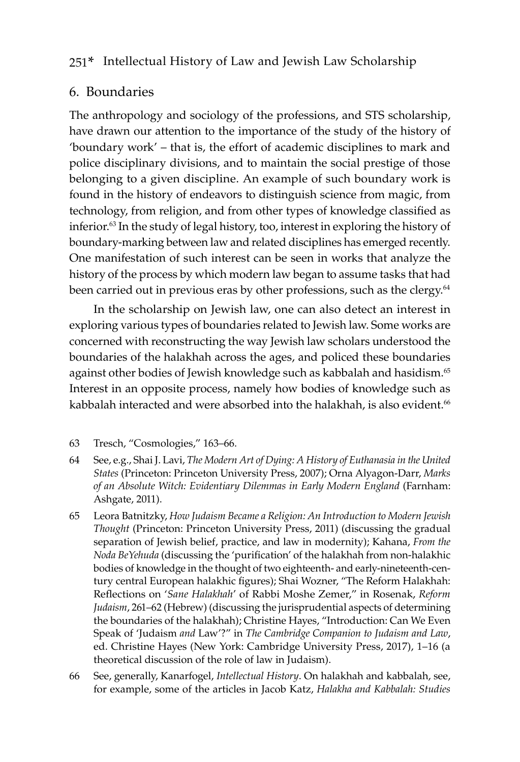## 6. Boundaries

The anthropology and sociology of the professions, and STS scholarship, have drawn our attention to the importance of the study of the history of 'boundary work' – that is, the effort of academic disciplines to mark and police disciplinary divisions, and to maintain the social prestige of those belonging to a given discipline. An example of such boundary work is found in the history of endeavors to distinguish science from magic, from technology, from religion, and from other types of knowledge classified as inferior.63 In the study of legal history, too, interest in exploring the history of boundary-marking between law and related disciplines has emerged recently. One manifestation of such interest can be seen in works that analyze the history of the process by which modern law began to assume tasks that had been carried out in previous eras by other professions, such as the clergy.<sup>64</sup>

In the scholarship on Jewish law, one can also detect an interest in exploring various types of boundaries related to Jewish law. Some works are concerned with reconstructing the way Jewish law scholars understood the boundaries of the halakhah across the ages, and policed these boundaries against other bodies of Jewish knowledge such as kabbalah and hasidism.<sup>65</sup> Interest in an opposite process, namely how bodies of knowledge such as kabbalah interacted and were absorbed into the halakhah, is also evident.<sup>66</sup>

- 63 Tresch, "Cosmologies," 163–66.
- 64 See, e.g., Shai J. Lavi, *The Modern Art of Dying: A History of Euthanasia in the United States* (Princeton: Princeton University Press, 2007); Orna Alyagon-Darr, *Marks of an Absolute Witch: Evidentiary Dilemmas in Early Modern England* (Farnham: Ashgate, 2011).
- 65 Leora Batnitzky, *How Judaism Became a Religion: An Introduction to Modern Jewish Thought* (Princeton: Princeton University Press, 2011) (discussing the gradual separation of Jewish belief, practice, and law in modernity); Kahana, *From the Noda BeYehuda* (discussing the 'purification' of the halakhah from non-halakhic bodies of knowledge in the thought of two eighteenth- and early-nineteenth-century central European halakhic figures); Shai Wozner, "The Reform Halakhah: Reflections on '*Sane Halakhah*' of Rabbi Moshe Zemer," in Rosenak, *Reform Judaism*, 261–62 (Hebrew) (discussing the jurisprudential aspects of determining the boundaries of the halakhah); Christine Hayes, "Introduction: Can We Even Speak of 'Judaism *and* Law'?" in *The Cambridge Companion to Judaism and Law*, ed. Christine Hayes (New York: Cambridge University Press, 2017), 1–16 (a theoretical discussion of the role of law in Judaism).
- 66 See, generally, Kanarfogel, *Intellectual History*. On halakhah and kabbalah, see, for example, some of the articles in Jacob Katz, *Halakha and Kabbalah: Studies*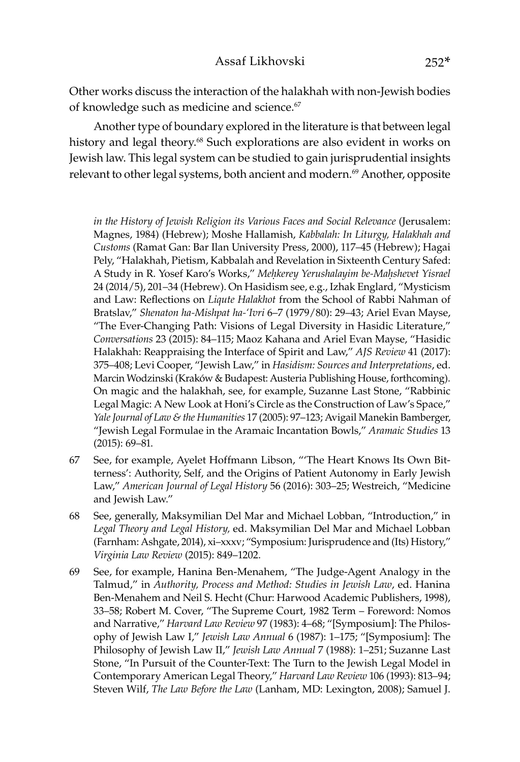Other works discuss the interaction of the halakhah with non-Jewish bodies of knowledge such as medicine and science.<sup>67</sup>

Another type of boundary explored in the literature is that between legal history and legal theory.<sup>68</sup> Such explorations are also evident in works on Jewish law. This legal system can be studied to gain jurisprudential insights relevant to other legal systems, both ancient and modern.<sup>69</sup> Another, opposite

*in the History of Jewish Religion its Various Faces and Social Relevance* (Jerusalem: Magnes, 1984) (Hebrew); Moshe Hallamish, *Kabbalah: In Liturgy, Halakhah and Customs* (Ramat Gan: Bar Ilan University Press, 2000), 117–45 (Hebrew); Hagai Pely, "Halakhah, Pietism, Kabbalah and Revelation in Sixteenth Century Safed: A Study in R. Yosef Karo's Works," Mehkerey Yerushalayim be-Mahshevet Yisrael 24 (2014/5), 201–34 (Hebrew). On Hasidism see, e.g., Izhak Englard, "Mysticism and Law: Reflections on *Liqute Halakhot* from the School of Rabbi Nahman of Bratslav," *Shenaton ha-Mishpat ha-'Ivri* 6–7 (1979/80): 29–43; Ariel Evan Mayse, "The Ever-Changing Path: Visions of Legal Diversity in Hasidic Literature," *Conversations* 23 (2015): 84–115; Maoz Kahana and Ariel Evan Mayse, "Hasidic Halakhah: Reappraising the Interface of Spirit and Law," *AJS Review* 41 (2017): 375–408; Levi Cooper, "Jewish Law," in *Hasidism: Sources and Interpretations*, ed. Marcin Wodzinski (Kraków & Budapest: Austeria Publishing House, forthcoming). On magic and the halakhah, see, for example, Suzanne Last Stone, "Rabbinic Legal Magic: A New Look at Honi's Circle as the Construction of Law's Space," *Yale Journal of Law & the Humanities* 17 (2005): 97–123; Avigail Manekin Bamberger, "Jewish Legal Formulae in the Aramaic Incantation Bowls," *Aramaic Studies* 13 (2015): 69–81.

- 67 See, for example, Ayelet Hoffmann Libson, "'The Heart Knows Its Own Bitterness': Authority, Self, and the Origins of Patient Autonomy in Early Jewish Law," *American Journal of Legal History* 56 (2016): 303–25; Westreich, "Medicine and Jewish Law."
- 68 See, generally, Maksymilian Del Mar and Michael Lobban, "Introduction," in *Legal Theory and Legal History,* ed. Maksymilian Del Mar and Michael Lobban (Farnham: Ashgate, 2014), xi–xxxv; "Symposium: Jurisprudence and (Its) History," *Virginia Law Review* (2015): 849–1202.
- 69 See, for example, Hanina Ben-Menahem, "The Judge-Agent Analogy in the Talmud," in *Authority, Process and Method: Studies in Jewish Law*, ed. Hanina Ben-Menahem and Neil S. Hecht (Chur: Harwood Academic Publishers, 1998), 33–58; Robert M. Cover, "The Supreme Court, 1982 Term – Foreword: Nomos and Narrative," *Harvard Law Review* 97 (1983): 4–68; "[Symposium]: The Philosophy of Jewish Law I," *Jewish Law Annual* 6 (1987): 1–175; "[Symposium]: The Philosophy of Jewish Law II," *Jewish Law Annual* 7 (1988): 1–251; Suzanne Last Stone, "In Pursuit of the Counter-Text: The Turn to the Jewish Legal Model in Contemporary American Legal Theory," *Harvard Law Review* 106 (1993): 813–94; Steven Wilf, *The Law Before the Law* (Lanham, MD: Lexington, 2008); Samuel J.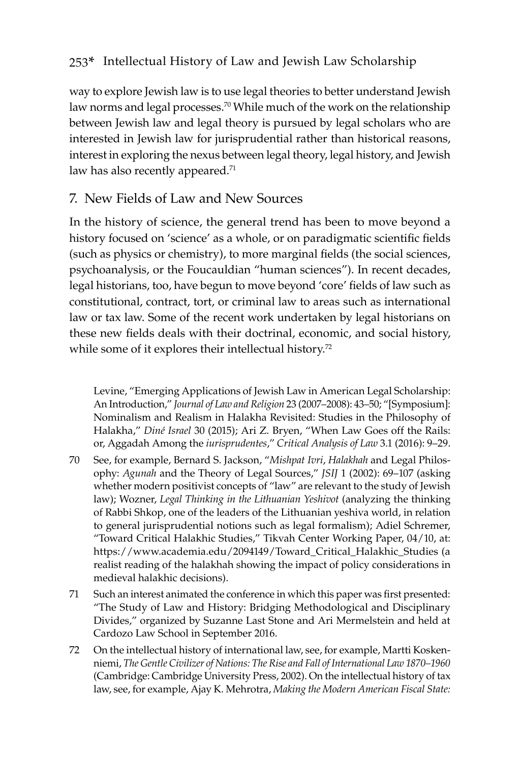way to explore Jewish law is to use legal theories to better understand Jewish law norms and legal processes.<sup>70</sup> While much of the work on the relationship between Jewish law and legal theory is pursued by legal scholars who are interested in Jewish law for jurisprudential rather than historical reasons, interest in exploring the nexus between legal theory, legal history, and Jewish law has also recently appeared. $71$ 

## 7. New Fields of Law and New Sources

In the history of science, the general trend has been to move beyond a history focused on 'science' as a whole, or on paradigmatic scientific fields (such as physics or chemistry), to more marginal fields (the social sciences, psychoanalysis, or the Foucauldian "human sciences"). In recent decades, legal historians, too, have begun to move beyond 'core' fields of law such as constitutional, contract, tort, or criminal law to areas such as international law or tax law. Some of the recent work undertaken by legal historians on these new fields deals with their doctrinal, economic, and social history, while some of it explores their intellectual history.<sup>72</sup>

Levine, "Emerging Applications of Jewish Law in American Legal Scholarship: An Introduction," *Journal of Law and Religion* 23 (2007–2008): 43–50; "[Symposium]: Nominalism and Realism in Halakha Revisited: Studies in the Philosophy of Halakha," *Diné Israel* 30 (2015); Ari Z. Bryen, "When Law Goes off the Rails: or, Aggadah Among the *iurisprudentes*," *Critical Analysis of Law* 3.1 (2016): 9–29.

- 70 See, for example, Bernard S. Jackson, "*Mishpat Ivri*, *Halakhah* and Legal Philosophy: *Agunah* and the Theory of Legal Sources," *JSIJ* 1 (2002): 69–107 (asking whether modern positivist concepts of "law" are relevant to the study of Jewish law); Wozner, *Legal Thinking in the Lithuanian Yeshivot* (analyzing the thinking of Rabbi Shkop, one of the leaders of the Lithuanian yeshiva world, in relation to general jurisprudential notions such as legal formalism); Adiel Schremer, "Toward Critical Halakhic Studies," Tikvah Center Working Paper, 04/10, at: https://www.academia.edu/2094149/Toward\_Critical\_Halakhic\_Studies (a realist reading of the halakhah showing the impact of policy considerations in medieval halakhic decisions).
- 71 Such an interest animated the conference in which this paper was first presented: "The Study of Law and History: Bridging Methodological and Disciplinary Divides," organized by Suzanne Last Stone and Ari Mermelstein and held at Cardozo Law School in September 2016.
- 72 On the intellectual history of international law, see, for example, Martti Koskenniemi, *The Gentle Civilizer of Nations: The Rise and Fall of International Law 1870–1960* (Cambridge: Cambridge University Press, 2002). On the intellectual history of tax law, see, for example, Ajay K. Mehrotra, *Making the Modern American Fiscal State:*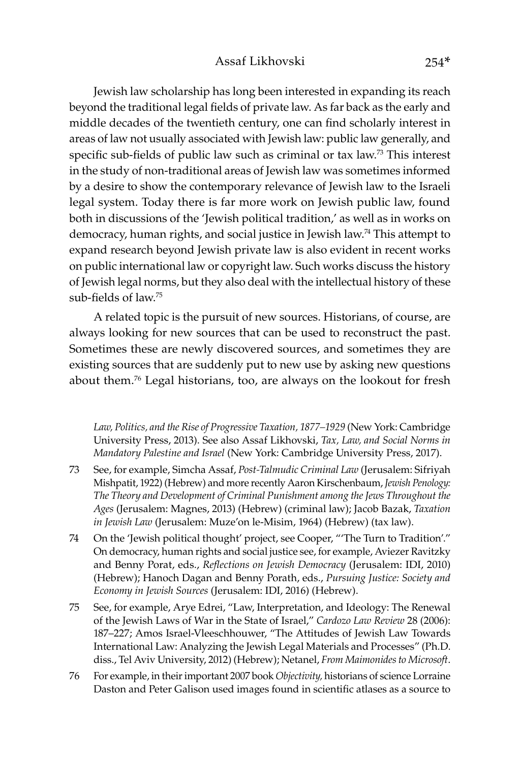Jewish law scholarship has long been interested in expanding its reach beyond the traditional legal fields of private law. As far back as the early and middle decades of the twentieth century, one can find scholarly interest in areas of law not usually associated with Jewish law: public law generally, and specific sub-fields of public law such as criminal or tax law.<sup>73</sup> This interest in the study of non-traditional areas of Jewish law was sometimes informed by a desire to show the contemporary relevance of Jewish law to the Israeli legal system. Today there is far more work on Jewish public law, found both in discussions of the 'Jewish political tradition,' as well as in works on democracy, human rights, and social justice in Jewish law.74 This attempt to expand research beyond Jewish private law is also evident in recent works on public international law or copyright law. Such works discuss the history of Jewish legal norms, but they also deal with the intellectual history of these sub-fields of law.<sup>75</sup>

A related topic is the pursuit of new sources. Historians, of course, are always looking for new sources that can be used to reconstruct the past. Sometimes these are newly discovered sources, and sometimes they are existing sources that are suddenly put to new use by asking new questions about them.76 Legal historians, too, are always on the lookout for fresh

Law, Politics, and the Rise of Progressive Taxation, 1877–1929 (New York: Cambridge University Press, 2013). See also Assaf Likhovski, *Tax, Law, and Social Norms in Mandatory Palestine and Israel* (New York: Cambridge University Press, 2017).

- 73 See, for example, Simcha Assaf, *Post-Talmudic Criminal Law* (Jerusalem: Sifriyah Mishpatit, 1922) (Hebrew) and more recently Aaron Kirschenbaum, *Jewish Penology: The Theory and Development of Criminal Punishment among the Jews Throughout the Ages* (Jerusalem: Magnes, 2013) (Hebrew) (criminal law); Jacob Bazak, *Taxation in Jewish Law* (Jerusalem: Muze'on le-Misim, 1964) (Hebrew) (tax law).
- 74 On the 'Jewish political thought' project, see Cooper, "'The Turn to Tradition'." On democracy, human rights and social justice see, for example, Aviezer Ravitzky and Benny Porat, eds., *Reflections on Jewish Democracy* (Jerusalem: IDI, 2010) (Hebrew); Hanoch Dagan and Benny Porath, eds., *Pursuing Justice: Society and Economy in Jewish Sources* (Jerusalem: IDI, 2016) (Hebrew).
- 75 See, for example, Arye Edrei, "Law, Interpretation, and Ideology: The Renewal of the Jewish Laws of War in the State of Israel," *Cardozo Law Review* 28 (2006): 187–227; Amos Israel-Vleeschhouwer, "The Attitudes of Jewish Law Towards International Law: Analyzing the Jewish Legal Materials and Processes" (Ph.D. diss., Tel Aviv University, 2012) (Hebrew); Netanel, *From Maimonides to Microsoft*.
- 76 For example, in their important 2007 book *Objectivity,* historians of science Lorraine Daston and Peter Galison used images found in scientific atlases as a source to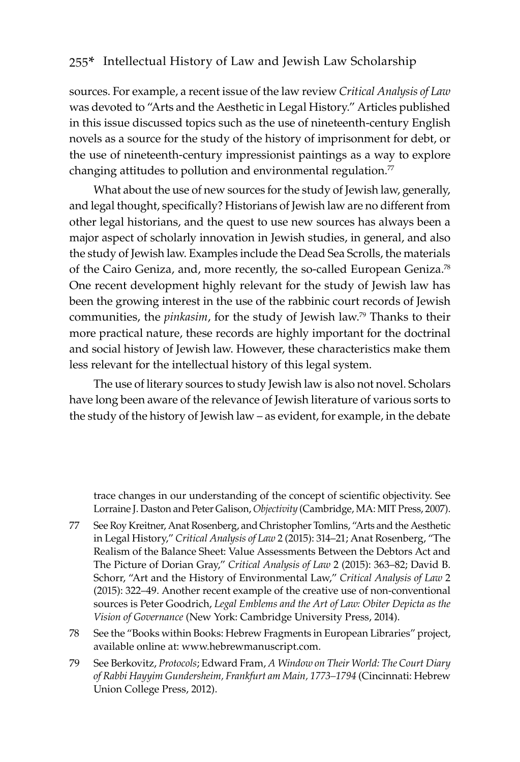sources. For example, a recent issue of the law review *Critical Analysis of Law* was devoted to "Arts and the Aesthetic in Legal History." Articles published in this issue discussed topics such as the use of nineteenth-century English novels as a source for the study of the history of imprisonment for debt, or the use of nineteenth-century impressionist paintings as a way to explore changing attitudes to pollution and environmental regulation. $77$ 

What about the use of new sources for the study of Jewish law, generally, and legal thought, specifically? Historians of Jewish law are no different from other legal historians, and the quest to use new sources has always been a major aspect of scholarly innovation in Jewish studies, in general, and also the study of Jewish law. Examples include the Dead Sea Scrolls, the materials of the Cairo Geniza, and, more recently, the so-called European Geniza.78 One recent development highly relevant for the study of Jewish law has been the growing interest in the use of the rabbinic court records of Jewish communities, the *pinkasim*, for the study of Jewish law.79 Thanks to their more practical nature, these records are highly important for the doctrinal and social history of Jewish law. However, these characteristics make them less relevant for the intellectual history of this legal system.

The use of literary sources to study Jewish law is also not novel. Scholars have long been aware of the relevance of Jewish literature of various sorts to the study of the history of Jewish law – as evident, for example, in the debate

trace changes in our understanding of the concept of scientific objectivity. See Lorraine J. Daston and Peter Galison, *Objectivity* (Cambridge, MA: MIT Press, 2007).

- 77 See Roy Kreitner, Anat Rosenberg, and Christopher Tomlins, "Arts and the Aesthetic in Legal History," *Critical Analysis of Law* 2 (2015): 314–21; Anat Rosenberg, "The Realism of the Balance Sheet: Value Assessments Between the Debtors Act and The Picture of Dorian Gray," *Critical Analysis of Law* 2 (2015): 363–82; David B. Schorr, "Art and the History of Environmental Law," *Critical Analysis of Law* 2 (2015): 322–49. Another recent example of the creative use of non-conventional sources is Peter Goodrich, *Legal Emblems and the Art of Law: Obiter Depicta as the Vision of Governance* (New York: Cambridge University Press, 2014).
- 78 See the "Books within Books: Hebrew Fragments in European Libraries" project, available online at: www.hebrewmanuscript.com.
- 79 See Berkovitz, *Protocols*; Edward Fram, *A Window on Their World: The Court Diary of Rabbi Hayyim Gundersheim, Frankfurt am Main, 1773–1794* (Cincinnati: Hebrew Union College Press, 2012).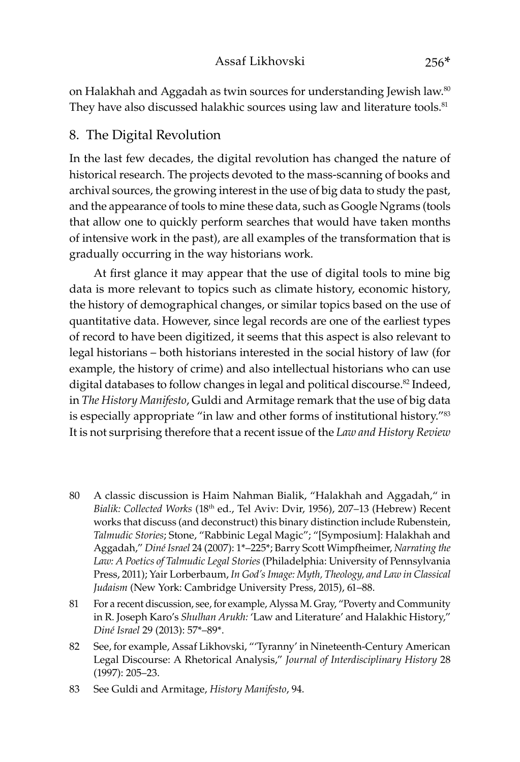on Halakhah and Aggadah as twin sources for understanding Jewish law.<sup>80</sup> They have also discussed halakhic sources using law and literature tools.<sup>81</sup>

## 8. The Digital Revolution

In the last few decades, the digital revolution has changed the nature of historical research. The projects devoted to the mass-scanning of books and archival sources, the growing interest in the use of big data to study the past, and the appearance of tools to mine these data, such as Google Ngrams (tools that allow one to quickly perform searches that would have taken months of intensive work in the past), are all examples of the transformation that is gradually occurring in the way historians work.

At first glance it may appear that the use of digital tools to mine big data is more relevant to topics such as climate history, economic history, the history of demographical changes, or similar topics based on the use of quantitative data. However, since legal records are one of the earliest types of record to have been digitized, it seems that this aspect is also relevant to legal historians – both historians interested in the social history of law (for example, the history of crime) and also intellectual historians who can use digital databases to follow changes in legal and political discourse.<sup>82</sup> Indeed, in *The History Manifesto*, Guldi and Armitage remark that the use of big data is especially appropriate "in law and other forms of institutional history."83 It is not surprising therefore that a recent issue of the *Law and History Review* 

- 80 A classic discussion is Haim Nahman Bialik, "Halakhah and Aggadah," in *Bialik: Collected Works* (18th ed., Tel Aviv: Dvir, 1956), 207–13 (Hebrew) Recent works that discuss (and deconstruct) this binary distinction include Rubenstein, *Talmudic Stories*; Stone, "Rabbinic Legal Magic"; "[Symposium]: Halakhah and Aggadah," *Diné Israel* 24 (2007): 1\*–225\*; Barry Scott Wimpfheimer, *Narrating the Law: A Poetics of Talmudic Legal Stories* (Philadelphia: University of Pennsylvania Press, 2011); Yair Lorberbaum, *In God's Image: Myth, Theology, and Law in Classical Judaism* (New York: Cambridge University Press, 2015), 61–88.
- 81 For a recent discussion, see, for example, Alyssa M. Gray, "Poverty and Community in R. Joseph Karo's *Shulhan Arukh:* 'Law and Literature' and Halakhic History," *Diné Israel* 29 (2013): 57\*–89\*.
- 82 See, for example, Assaf Likhovski, "'Tyranny' in Nineteenth-Century American Legal Discourse: A Rhetorical Analysis," *Journal of Interdisciplinary History* 28 (1997): 205–23.
- 83 See Guldi and Armitage, *History Manifesto*, 94.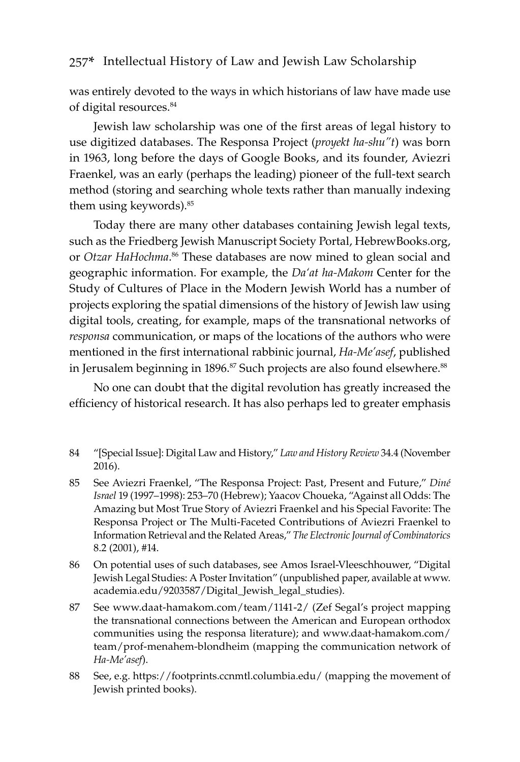was entirely devoted to the ways in which historians of law have made use of digital resources.<sup>84</sup>

Jewish law scholarship was one of the first areas of legal history to use digitized databases. The Responsa Project (*proyekt ha-shu"t*) was born in 1963, long before the days of Google Books, and its founder, Aviezri Fraenkel, was an early (perhaps the leading) pioneer of the full-text search method (storing and searching whole texts rather than manually indexing them using keywords).85

Today there are many other databases containing Jewish legal texts, such as the Friedberg Jewish Manuscript Society Portal, HebrewBooks.org, or *Otzar HaHochma*. 86 These databases are now mined to glean social and geographic information. For example, the *Da'at ha-Makom* Center for the Study of Cultures of Place in the Modern Jewish World has a number of projects exploring the spatial dimensions of the history of Jewish law using digital tools, creating, for example, maps of the transnational networks of *responsa* communication, or maps of the locations of the authors who were mentioned in the first international rabbinic journal, *Ha-Me'asef*, published in Jerusalem beginning in 1896.<sup>87</sup> Such projects are also found elsewhere.<sup>88</sup>

No one can doubt that the digital revolution has greatly increased the efficiency of historical research. It has also perhaps led to greater emphasis

- 85 See Aviezri Fraenkel, "The Responsa Project: Past, Present and Future," *Diné Israel* 19 (1997–1998): 253–70 (Hebrew); Yaacov Choueka, "Against all Odds: The Amazing but Most True Story of Aviezri Fraenkel and his Special Favorite: The Responsa Project or The Multi-Faceted Contributions of Aviezri Fraenkel to Information Retrieval and the Related Areas," *The Electronic Journal of Combinatorics* 8.2 (2001), #14.
- 86 On potential uses of such databases, see Amos Israel-Vleeschhouwer, "Digital Jewish Legal Studies: A Poster Invitation" (unpublished paper, available at www. academia.edu/9203587/Digital\_Jewish\_legal\_studies).
- 87 See www.daat-hamakom.com/team/1141-2/ (Zef Segal's project mapping the transnational connections between the American and European orthodox communities using the responsa literature); and www.daat-hamakom.com/ team/prof-menahem-blondheim (mapping the communication network of *Ha-Me'asef*).
- 88 See, e.g. https://footprints.ccnmtl.columbia.edu/ (mapping the movement of Jewish printed books).

<sup>84</sup> "[Special Issue]: Digital Law and History," *Law and History Review* 34.4 (November 2016).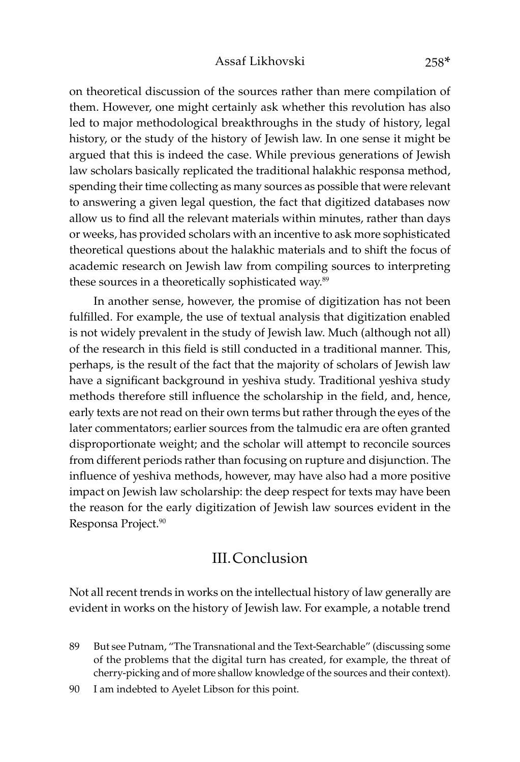on theoretical discussion of the sources rather than mere compilation of them. However, one might certainly ask whether this revolution has also led to major methodological breakthroughs in the study of history, legal history, or the study of the history of Jewish law. In one sense it might be argued that this is indeed the case. While previous generations of Jewish law scholars basically replicated the traditional halakhic responsa method, spending their time collecting as many sources as possible that were relevant to answering a given legal question, the fact that digitized databases now allow us to find all the relevant materials within minutes, rather than days or weeks, has provided scholars with an incentive to ask more sophisticated theoretical questions about the halakhic materials and to shift the focus of academic research on Jewish law from compiling sources to interpreting these sources in a theoretically sophisticated way.<sup>89</sup>

In another sense, however, the promise of digitization has not been fulfilled. For example, the use of textual analysis that digitization enabled is not widely prevalent in the study of Jewish law. Much (although not all) of the research in this field is still conducted in a traditional manner. This, perhaps, is the result of the fact that the majority of scholars of Jewish law have a significant background in yeshiva study. Traditional yeshiva study methods therefore still influence the scholarship in the field, and, hence, early texts are not read on their own terms but rather through the eyes of the later commentators; earlier sources from the talmudic era are often granted disproportionate weight; and the scholar will attempt to reconcile sources from different periods rather than focusing on rupture and disjunction. The influence of yeshiva methods, however, may have also had a more positive impact on Jewish law scholarship: the deep respect for texts may have been the reason for the early digitization of Jewish law sources evident in the Responsa Project.<sup>90</sup>

## III.Conclusion

Not all recent trends in works on the intellectual history of law generally are evident in works on the history of Jewish law. For example, a notable trend

90 I am indebted to Ayelet Libson for this point.

<sup>89</sup> But see Putnam, "The Transnational and the Text-Searchable" (discussing some of the problems that the digital turn has created, for example, the threat of cherry-picking and of more shallow knowledge of the sources and their context).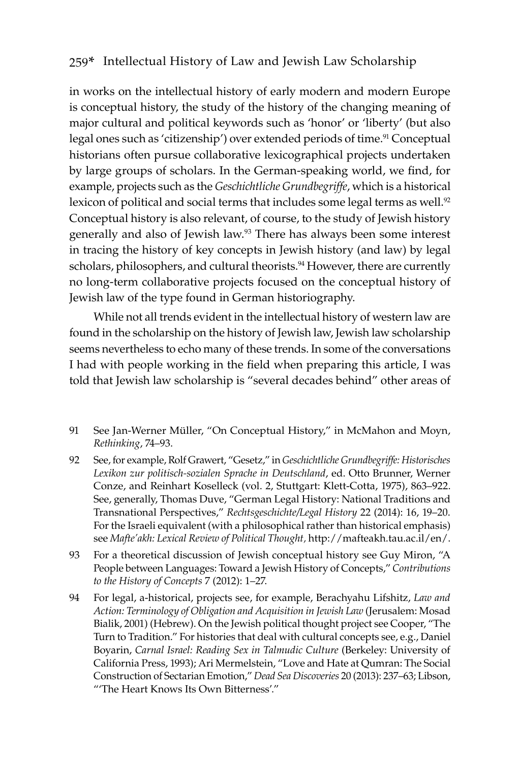in works on the intellectual history of early modern and modern Europe is conceptual history, the study of the history of the changing meaning of major cultural and political keywords such as 'honor' or 'liberty' (but also legal ones such as 'citizenship') over extended periods of time.<sup>91</sup> Conceptual historians often pursue collaborative lexicographical projects undertaken by large groups of scholars. In the German-speaking world, we find, for example, projects such as the *Geschichtliche Grundbegriffe*, which is a historical lexicon of political and social terms that includes some legal terms as well.<sup>92</sup> Conceptual history is also relevant, of course, to the study of Jewish history generally and also of Jewish law.<sup>93</sup> There has always been some interest in tracing the history of key concepts in Jewish history (and law) by legal scholars, philosophers, and cultural theorists.<sup>94</sup> However, there are currently no long-term collaborative projects focused on the conceptual history of Jewish law of the type found in German historiography.

While not all trends evident in the intellectual history of western law are found in the scholarship on the history of Jewish law, Jewish law scholarship seems nevertheless to echo many of these trends. In some of the conversations I had with people working in the field when preparing this article, I was told that Jewish law scholarship is "several decades behind" other areas of

- 91 See Jan-Werner Müller, "On Conceptual History," in McMahon and Moyn, *Rethinking*, 74–93.
- 92 See, for example, Rolf Grawert, "Gesetz," in *Geschichtliche Grundbegriffe: Historisches Lexikon zur politisch-sozialen Sprache in Deutschland*, ed. Otto Brunner, Werner Conze, and Reinhart Koselleck (vol. 2, Stuttgart: Klett-Cotta, 1975), 863–922. See, generally, Thomas Duve, "German Legal History: National Traditions and Transnational Perspectives," *Rechtsgeschichte/Legal History* 22 (2014): 16, 19–20. For the Israeli equivalent (with a philosophical rather than historical emphasis) see *Mafte'akh: Lexical Review of Political Thought,* http://mafteakh.tau.ac.il/en/.
- 93 For a theoretical discussion of Jewish conceptual history see Guy Miron, "A People between Languages: Toward a Jewish History of Concepts," *Contributions to the History of Concepts* 7 (2012): 1–27.
- 94 For legal, a-historical, projects see, for example, Berachyahu Lifshitz, *Law and Action: Terminology of Obligation and Acquisition in Jewish Law* (Jerusalem: Mosad Bialik, 2001) (Hebrew). On the Jewish political thought project see Cooper, "The Turn to Tradition." For histories that deal with cultural concepts see, e.g., Daniel Boyarin, *Carnal Israel: Reading Sex in Talmudic Culture* (Berkeley: University of California Press, 1993); Ari Mermelstein, "Love and Hate at Qumran: The Social Construction of Sectarian Emotion," *Dead Sea Discoveries* 20 (2013): 237–63; Libson, "'The Heart Knows Its Own Bitterness'."